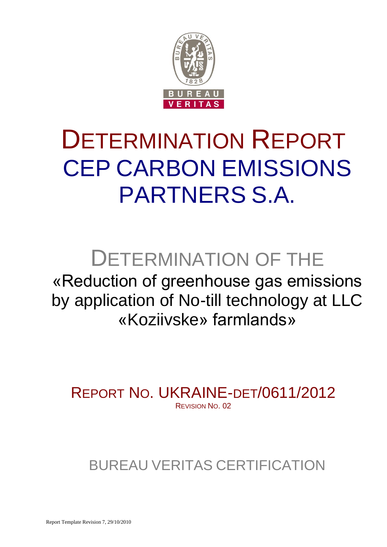

# DETERMINATION REPORT CEP CARBON EMISSIONS PARTNERS S.A.

# DETERMINATION OF THE

«Reduction of greenhouse gas emissions by application of No-till technology at LLC «Koziivske» farmlands»

REPORT NO. UKRAINE-DET/0611/2012 REVISION NO. 02

BUREAU VERITAS CERTIFICATION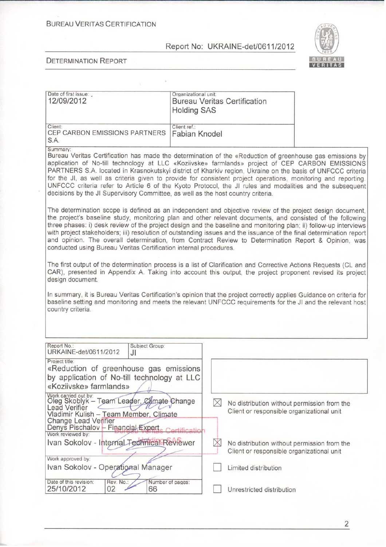**BUREAU VERITAS CERTIFICATION** 

#### Report No: UKRAINE-det/0611/2012

Organizational unit:



#### **DETERMINATION REPORT**

Date of first issue:

| 12/09/2012                                                                                                                                                                                                                                                                                                                                                                                                                                                                                                                                                                                                                                             |                        | <b>Bureau Veritas Certification</b><br><b>Holding SAS</b> |                                                                                          |  |
|--------------------------------------------------------------------------------------------------------------------------------------------------------------------------------------------------------------------------------------------------------------------------------------------------------------------------------------------------------------------------------------------------------------------------------------------------------------------------------------------------------------------------------------------------------------------------------------------------------------------------------------------------------|------------------------|-----------------------------------------------------------|------------------------------------------------------------------------------------------|--|
| Client:<br>CEP CARBON EMISSIONS PARTNERS<br>S.A.                                                                                                                                                                                                                                                                                                                                                                                                                                                                                                                                                                                                       |                        | Client ref.:<br>Fabian Knodel                             |                                                                                          |  |
| Summary:<br>Bureau Veritas Certification has made the determination of the «Reduction of greenhouse gas emissions by<br>application of No-till technology at LLC «Koziivske» farmlands» project of CEP CARBON EMISSIONS<br>PARTNERS S.A. located in Krasnokutskyi district of Kharkiv region, Ukraine on the basis of UNFCCC criteria<br>for the JI, as well as criteria given to provide for consistent project operations, monitoring and reporting.<br>UNFCCC criteria refer to Article 6 of the Kyoto Protocol, the JI rules and modalities and the subsequent<br>decisions by the JI Supervisory Committee, as well as the host country criteria. |                        |                                                           |                                                                                          |  |
| The determination scope is defined as an independent and objective review of the project design document,<br>the project's baseline study, monitoring plan and other relevant documents, and consisted of the following<br>three phases: i) desk review of the project design and the baseline and monitoring plan; ii) follow-up interviews<br>with project stakeholders; iii) resolution of outstanding issues and the issuance of the final determination report<br>and opinion. The overall determination, from Contract Review to Determination Report & Opinion, was<br>conducted using Bureau Veritas Certification internal procedures.        |                        |                                                           |                                                                                          |  |
| The first output of the determination process is a list of Clarification and Corrective Actions Requests (CL and<br>CAR), presented in Appendix A. Taking into account this output, the project proponent revised its project<br>design document.                                                                                                                                                                                                                                                                                                                                                                                                      |                        |                                                           |                                                                                          |  |
| In summary, it is Bureau Veritas Certification's opinion that the project correctly applies Guidance on criteria for<br>baseline setting and monitoring and meets the relevant UNFCCC requirements for the JI and the relevant host<br>country criteria.                                                                                                                                                                                                                                                                                                                                                                                               |                        |                                                           |                                                                                          |  |
|                                                                                                                                                                                                                                                                                                                                                                                                                                                                                                                                                                                                                                                        |                        |                                                           |                                                                                          |  |
| Report No.:<br>URKAINE-det/0611/2012                                                                                                                                                                                                                                                                                                                                                                                                                                                                                                                                                                                                                   | Subject Group:<br>JI   |                                                           |                                                                                          |  |
| Project title:<br>«Reduction of greenhouse gas emissions<br>by application of No-till technology at LLC<br>«Koziivske» farmlands»                                                                                                                                                                                                                                                                                                                                                                                                                                                                                                                      |                        |                                                           |                                                                                          |  |
| Work carried out by:<br>Oleg Skoblyk - Team Leader, Climate Change<br><b>Lead Verifier</b><br>Vladimir Kulish - Team Member, Climate<br><b>Change Lead Verifier</b><br>Denys Pischalov - Financial Expert.<br>Work reviewed by:                                                                                                                                                                                                                                                                                                                                                                                                                        |                        | $\boxtimes$                                               | No distribution without permission from the<br>Client or responsible organizational unit |  |
| Ivan Sokolov - Internal Technical Reviewer                                                                                                                                                                                                                                                                                                                                                                                                                                                                                                                                                                                                             |                        |                                                           | No distribution without permission from the<br>Client or responsible organizational unit |  |
| Work approved by:<br>Ivan Sokolov - Operational Manager                                                                                                                                                                                                                                                                                                                                                                                                                                                                                                                                                                                                |                        |                                                           | Limited distribution                                                                     |  |
| Date of this revision:<br>Rev. No.:<br>25/10/2012<br>02                                                                                                                                                                                                                                                                                                                                                                                                                                                                                                                                                                                                | Number of pages:<br>66 |                                                           | Unrestricted distribution                                                                |  |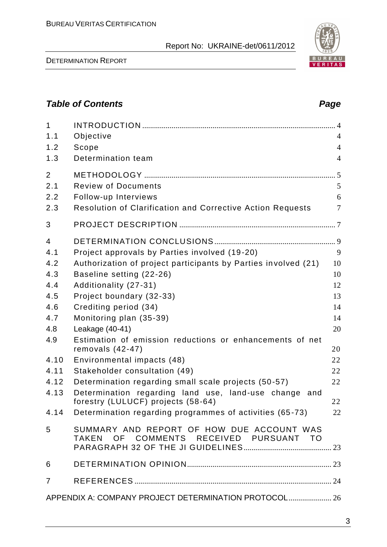DETERMINATION REPORT

# *Table of Contents Page*

| $\mathbf{1}$   |                                                                                |                |
|----------------|--------------------------------------------------------------------------------|----------------|
| 1.1            | Objective                                                                      | $\overline{4}$ |
| 1.2            | Scope                                                                          | $\overline{4}$ |
| 1.3            | Determination team                                                             | $\overline{4}$ |
| $\overline{2}$ |                                                                                | .5             |
| 2.1            | <b>Review of Documents</b>                                                     | 5              |
| 2.2            | Follow-up Interviews                                                           | 6              |
| 2.3            | Resolution of Clarification and Corrective Action Requests                     | $\overline{7}$ |
| 3              |                                                                                |                |
| $\overline{4}$ |                                                                                |                |
| 4.1            | Project approvals by Parties involved (19-20)                                  | 9              |
| 4.2            | Authorization of project participants by Parties involved (21)                 | 10             |
| 4.3            | Baseline setting (22-26)                                                       | 10             |
| 4.4            | Additionality (27-31)                                                          | 12             |
| 4.5            | Project boundary (32-33)                                                       | 13             |
| 4.6            | Crediting period (34)                                                          | 14             |
| 4.7            | Monitoring plan (35-39)                                                        | 14             |
| 4.8            | Leakage (40-41)                                                                | 20             |
| 4.9            | Estimation of emission reductions or enhancements of net<br>removals $(42-47)$ | 20             |
| 4.10           | Environmental impacts (48)                                                     | 22             |
| 4.11           | Stakeholder consultation (49)                                                  | 22             |
| 4.12           | Determination regarding small scale projects (50-57)                           | 22             |
| 4.13           | Determination regarding land use, land-use change and                          |                |
|                | forestry (LULUCF) projects (58-64)                                             | 22             |
|                | 4.14 Determination regarding programmes of activities (65-73)                  | 22             |
| 5              | SUMMARY AND REPORT OF HOW DUE ACCOUNT WAS                                      |                |
|                | TAKEN OF COMMENTS RECEIVED PURSUANT TO                                         |                |
| 6              |                                                                                |                |
| $\overline{7}$ |                                                                                |                |
|                | APPENDIX A: COMPANY PROJECT DETERMINATION PROTOCOL 26                          |                |

3

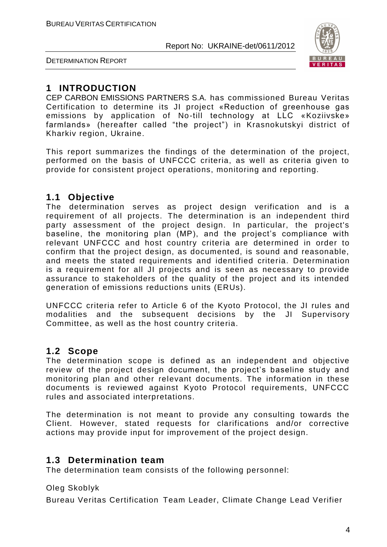

DETERMINATION REPORT

# **1 INTRODUCTION**

CEP CARBON EMISSIONS PARTNERS S.A. has commissioned Bureau Veritas Certification to determine its JI project «Reduction of greenhouse gas emissions by application of No-till technology at LLC «Koziivske» farmlands» (hereafter called "the project") in Krasnokutskyi district of Kharkiv region, Ukraine.

This report summarizes the findings of the determination of the project, performed on the basis of UNFCCC criteria, as well as criteria given to provide for consistent project operations, monitoring and reporting.

# **1.1 Objective**

The determination serves as project design verification and is a requirement of all projects. The determination is an independent third party assessment of the project design. In particular, the project's baseline, the monitoring plan (MP), and the project's compliance with relevant UNFCCC and host country criteria are determined in order to confirm that the project design, as documented, is sound and reasonable, and meets the stated requirements and identified criteria. Determination is a requirement for all JI projects and is seen as necessary to provide assurance to stakeholders of the quality of the project and its intended generation of emissions reductions units (ERUs).

UNFCCC criteria refer to Article 6 of the Kyoto Protocol, the JI rules and modalities and the subsequent decisions by the JI Supervisory Committee, as well as the host country criteria.

# **1.2 Scope**

The determination scope is defined as an independent and objective review of the project design document, the project's baseline study and monitoring plan and other relevant documents. The information in these documents is reviewed against Kyoto Protocol requirements, UNFCCC rules and associated interpretations.

The determination is not meant to provide any consulting towards the Client. However, stated requests for clarifications and/or corrective actions may provide input for improvement of the project design.

# **1.3 Determination team**

The determination team consists of the following personnel:

Oleg Skoblyk

Bureau Veritas Certification Team Leader, Climate Change Lead Verifier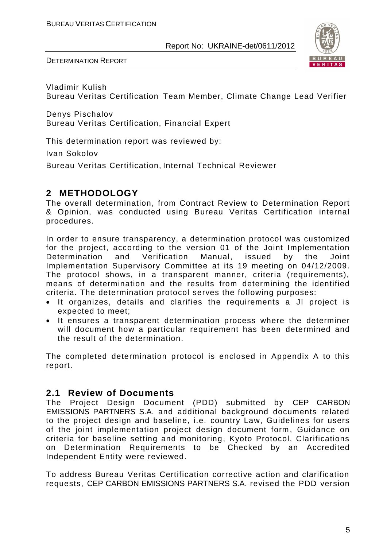

DETERMINATION REPORT

Vladimir Kulish Bureau Veritas Certification Team Member, Climate Change Lead Verifier

Denys Pischalov Bureau Veritas Certification, Financial Expert

This determination report was reviewed by:

Ivan Sokolov

Bureau Veritas Certification, Internal Technical Reviewer

# **2 METHODOLOGY**

The overall determination, from Contract Review to Determination Report & Opinion, was conducted using Bureau Veritas Certification internal procedures.

In order to ensure transparency, a determination protocol was customized for the project, according to the version 01 of the Joint Implementation Determination and Verification Manual, issued by the Joint Implementation Supervisory Committee at its 19 meeting on 04/12/2009. The protocol shows, in a transparent manner, criteria (requirements), means of determination and the results from determining the identified criteria. The determination protocol serves the following purposes:

- It organizes, details and clarifies the requirements a JI project is expected to meet;
- It ensures a transparent determination process where the determiner will document how a particular requirement has been determined and the result of the determination.

The completed determination protocol is enclosed in Appendix A to this report.

# **2.1 Review of Documents**

The Project Design Document (PDD) submitted by CEP CARBON EMISSIONS PARTNERS S.A. and additional background documents related to the project design and baseline, i.e. country Law, Guidelines for users of the joint implementation project design document form , Guidance on criteria for baseline setting and monitoring, Kyoto Protocol, Clarifications on Determination Requirements to be Checked by an Accredited Independent Entity were reviewed.

To address Bureau Veritas Certification corrective action and clarification requests, CEP CARBON EMISSIONS PARTNERS S.A. revised the PDD version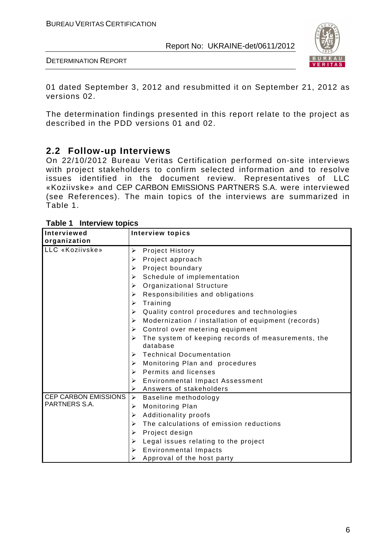

DETERMINATION REPORT

01 dated September 3, 2012 and resubmitted it on September 21, 2012 as versions 02.

The determination findings presented in this report relate to the project as described in the PDD versions 01 and 02.

# **2.2 Follow-up Interviews**

On 22/10/2012 Bureau Veritas Certification performed on-site interviews with project stakeholders to confirm selected information and to resolve issues identified in the document review. Representatives of LLC «Koziivske» and CEP CARBON EMISSIONS PARTNERS S.A. were interviewed (see References). The main topics of the interviews are summarized in Table 1.

| טטוקטו זוטווו וטוווו<br>Interviewed | <b>Interview topics</b>                                                      |
|-------------------------------------|------------------------------------------------------------------------------|
| organization                        |                                                                              |
| LLC «Koziivske»                     | <b>Project History</b><br>➤                                                  |
|                                     | Project approach<br>≻                                                        |
|                                     | Project boundary<br>➤                                                        |
|                                     | Schedule of implementation<br>➤                                              |
|                                     | <b>Organizational Structure</b><br>➤                                         |
|                                     | Responsibilities and obligations<br>➤                                        |
|                                     | Training<br>➤                                                                |
|                                     | Quality control procedures and technologies<br>➤                             |
|                                     | Modernization / installation of equipment (records)<br>$\blacktriangleright$ |
|                                     | Control over metering equipment<br>➤                                         |
|                                     | The system of keeping records of measurements, the<br>➤                      |
|                                     | database                                                                     |
|                                     | <b>Technical Documentation</b><br>➤                                          |
|                                     | Monitoring Plan and procedures<br>➤                                          |
|                                     | <b>Permits and licenses</b><br>➤                                             |
|                                     | <b>Environmental Impact Assessment</b><br>≻                                  |
|                                     | Answers of stakeholders<br>➤                                                 |
| <b>CEP CARBON EMISSIONS</b>         | $\blacktriangleright$<br>Baseline methodology                                |
| PARTNERS S.A.                       | Monitoring Plan<br>➤                                                         |
|                                     | Additionality proofs<br>➤                                                    |
|                                     | The calculations of emission reductions<br>➤                                 |
|                                     | Project design<br>➤                                                          |
|                                     | Legal issues relating to the project<br>≻                                    |
|                                     | <b>Environmental Impacts</b><br>≻                                            |
|                                     | Approval of the host party<br>➤                                              |

**Table 1 Interview topics**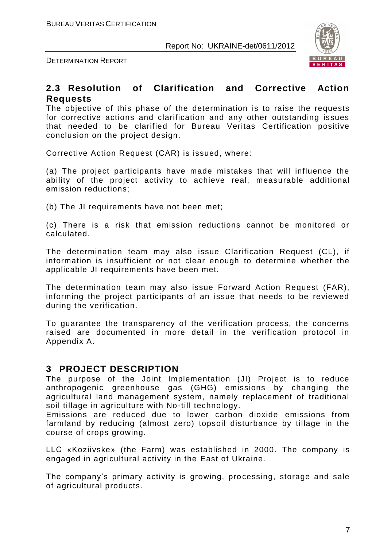



# **2.3 Resolution of Clarification and Corrective Action Requests**

The objective of this phase of the determination is to raise the requests for corrective actions and clarification and any other outstanding issues that needed to be clarified for Bureau Veritas Certification positive conclusion on the project design.

Corrective Action Request (CAR) is issued, where:

(a) The project participants have made mistakes that will influence the ability of the project activity to achieve real, measurable additional emission reductions;

(b) The JI requirements have not been met;

(c) There is a risk that emission reductions cannot be monitored or calculated.

The determination team may also issue Clarification Request (CL), if information is insufficient or not clear enough to determine whether the applicable JI requirements have been met.

The determination team may also issue Forward Action Request (FAR), informing the project participants of an issue that needs to be reviewed during the verification.

To guarantee the transparency of the verification process, the concerns raised are documented in more detail in the verification protocol in Appendix A.

# **3 PROJECT DESCRIPTION**

The purpose of the Joint Implementation (JI) Project is to reduce anthropogenic greenhouse gas (GHG) emissions by changing the agricultural land management system, namely replacement of traditional soil tillage in agriculture with No-till technology.

Emissions are reduced due to lower carbon dioxide emissions from farmland by reducing (almost zero) topsoil disturbance by tillage in the course of crops growing.

LLC «Koziivske» (the Farm) was established in 2000. The company is engaged in agricultural activity in the East of Ukraine.

The company's primary activity is growing, processing, storage and sale of agricultural products.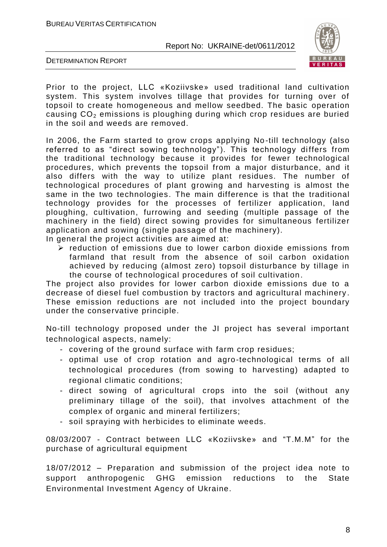

DETERMINATION REPORT

Prior to the project, LLC «Koziivske» used traditional land cultivation system. This system involves tillage that provides for turning over of topsoil to create homogeneous and mellow seedbed. The basic operation causing  $CO<sub>2</sub>$  emissions is ploughing during which crop residues are buried in the soil and weeds are removed.

In 2006, the Farm started to grow crops applying No -till technology (also referred to as "direct sowing technology"). This technology differs from the traditional technology because it provides for fewer technological procedures, which prevents the topsoil from a major disturbance, and it also differs with the way to utilize plant residues. The number of technological procedures of plant growing and harvesting is almost the same in the two technologies. The main difference is that the traditional technology provides for the processes of fertilizer application, land ploughing, cultivation, furrowing and seeding (multiple passage of the machinery in the field) direct sowing provides for simultaneous fertilizer application and sowing (single passage of the machinery).

In general the project activities are aimed at:

 $\triangleright$  reduction of emissions due to lower carbon dioxide emissions from farmland that result from the absence of soil carbon oxidation achieved by reducing (almost zero) topsoil disturbance by tillage in the course of technological procedures of soil cultivation.

The project also provides for lower carbon dioxide emissions due to a decrease of diesel fuel combustion by tractors and agricultural machinery . These emission reductions are not included into the project boundary under the conservative principle.

No-till technology proposed under the JI project has several important technological aspects, namely:

- covering of the ground surface with farm crop residues;
- optimal use of crop rotation and agro-technological terms of all technological procedures (from sowing to harvesting) adapted to regional climatic conditions;
- direct sowing of agricultural crops into the soil (without any preliminary tillage of the soil), that involves attachment of the complex of organic and mineral fertilizers;
- soil spraying with herbicides to eliminate weeds.

08/03/2007 - Contract between LLC «Koziivske» and "T.M.M" for the purchase of agricultural equipment

18/07/2012 – Preparation and submission of the project idea note to support anthropogenic GHG emission reductions to the State Environmental Investment Agency of Ukraine.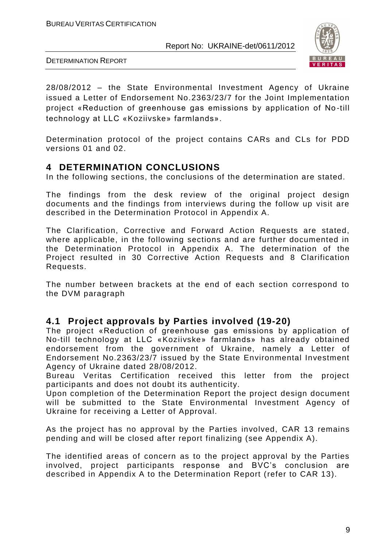

DETERMINATION REPORT

28/08/2012 – the State Environmental Investment Agency of Ukraine issued a Letter of Endorsement No.2363/23/7 for the Joint Implementation project «Reduction of greenhouse gas emissions by application of No -till technology at LLC «Koziivske» farmlands».

Determination protocol of the project contains CARs and CLs for PDD versions 01 and 02.

# **4 DETERMINATION CONCLUSIONS**

In the following sections, the conclusions of the determination are stated.

The findings from the desk review of the original project design documents and the findings from interviews during the follow up visit are described in the Determination Protocol in Appendix A.

The Clarification, Corrective and Forward Action Requests are stated, where applicable, in the following sections and are further documented in the Determination Protocol in Appendix A. The determination of the Project resulted in 30 Corrective Action Requests and 8 Clarification Requests.

The number between brackets at the end of each section correspond to the DVM paragraph

# **4.1 Project approvals by Parties involved (19-20)**

The project «Reduction of greenhouse gas emissions by application of No-till technology at LLC «Koziivske» farmlands» has already obtained endorsement from the government of Ukraine, namely a Letter of Endorsement No.2363/23/7 issued by the State Environmental Investment Agency of Ukraine dated 28/08/2012.

Bureau Veritas Certification received this letter from the project participants and does not doubt its authenticity.

Upon completion of the Determination Report the project design document will be submitted to the State Environmental Investment Agency of Ukraine for receiving a Letter of Approval.

As the project has no approval by the Parties involved, CAR 13 remains pending and will be closed after report finalizing (see Appendix A).

The identified areas of concern as to the project approval by the Parties involved, project participants response and BVC's conclusion are described in Appendix A to the Determination Report (refer to CAR 13).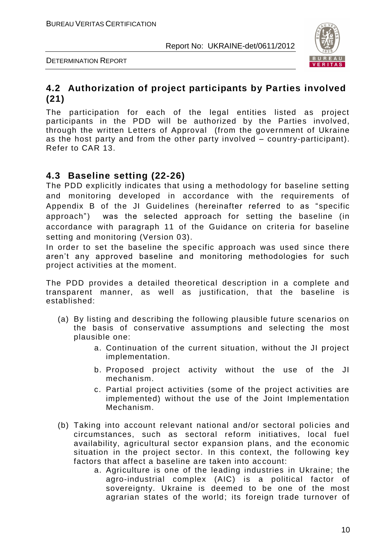

DETERMINATION REPORT

# **4.2 Authorization of project participants by Parties involved (21)**

The participation for each of the legal entities listed as project participants in the PDD will be authorized by the Parties involved, through the written Letters of Approval (from the government of Ukraine as the host party and from the other party involved – country-participant). Refer to CAR 13.

# **4.3 Baseline setting (22-26)**

The PDD explicitly indicates that using a methodology for baseline setting and monitoring developed in accordance with the requirements of Appendix B of the JI Guidelines (hereinafter referred to as "specific approach") was the selected approach for setting the baseline (in accordance with paragraph 11 of the Guidance on criteria for baseline setting and monitoring (Version 03).

In order to set the baseline the specific approach was used since there aren't any approved baseline and monitoring methodologies for such project activities at the moment.

The PDD provides a detailed theoretical description in a complete and transparent manner, as well as justification, that the baseline is established:

- (a) By listing and describing the following plausible future scenarios on the basis of conservative assumptions and selecting the most plausible one:
	- a. Continuation of the current situation, without the JI project implementation.
	- b. Proposed project activity without the use of the JI mechanism.
	- c. Partial project activities (some of the project activities are implemented) without the use of the Joint Implementation Mechanism.
- (b) Taking into account relevant national and/or sectoral policies and circumstances, such as sectoral reform initiatives, local fuel availability, agricultural sector expansion plans, and the economic situation in the project sector. In this context, the following key factors that affect a baseline are taken into account:
	- a. Agriculture is one of the leading industries in Ukraine; the agro-industrial complex (AIC) is a political factor of sovereignty. Ukraine is deemed to be one of the most agrarian states of the world; its foreign trade turnover of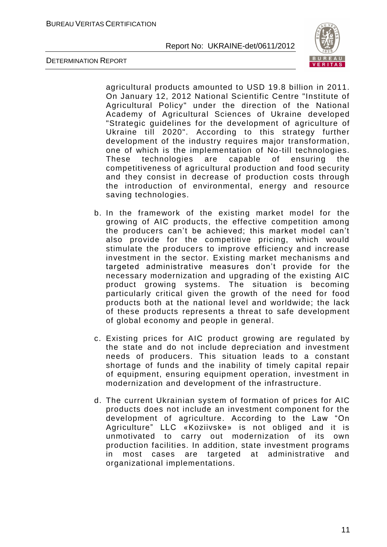

DETERMINATION REPORT

agricultural products amounted to USD 19.8 billion in 2011. On January 12, 2012 National Scientific Centre "Institute of Agricultural Policy" under the direction of the National Academy of Agricultural Sciences of Ukraine developed "Strategic guidelines for the development of agriculture of Ukraine till 2020". According to this strategy further development of the industry requires major transformation, one of which is the implementation of No-till technologies. These technologies are capable of ensuring the competitiveness of agricultural production and food security and they consist in decrease of production costs through the introduction of environmental, energy and resource saving technologies.

- b. In the framework of the existing market model for the growing of AIC products, the effective competition among the producers can't be achieved; this market model can't also provide for the competitive pricing, which would stimulate the producers to improve efficiency and increase investment in the sector. Existing market mechanisms a nd targeted administrative measures don't provide for the necessary modernization and upgrading of the existing AIC product growing systems. The situation is becoming particularly critical given the growth of the need for food products both at the national level and worldwide; the lack of these products represents a threat to safe development of global economy and people in general.
- c. Existing prices for AIC product growing are regulated by the state and do not include depreciation and investment needs of producers. This situation leads to a constant shortage of funds and the inability of timely capital repair of equipment, ensuring equipment operation, investment in modernization and development of the infrastructure.
- d. The current Ukrainian system of formation of prices for AIC products does not include an investment component for the development of agriculture. According to the Law "On Agriculture" LLC «Koziivske» is not obliged and it is unmotivated to carry out modernization of its own production facilities. In addition, state investment programs in most cases are targeted at administrative and organizational implementations.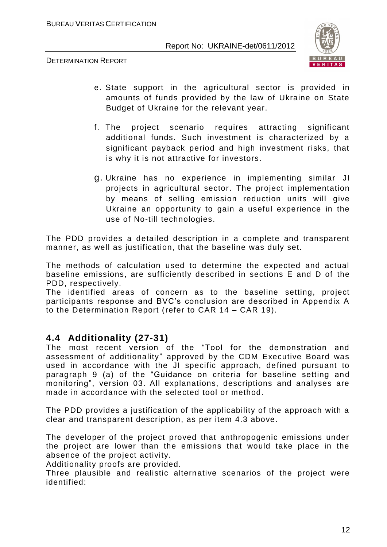

DETERMINATION REPORT

- e. State support in the agricultural sector is provided in amounts of funds provided by the law of Ukraine on State Budget of Ukraine for the relevant year.
- f. The project scenario requires attracting significant additional funds. Such investment is characterized by a significant payback period and high investment risks, that is why it is not attractive for investors.
- g. Ukraine has no experience in implementing similar JI projects in agricultural sector. The project implementation by means of selling emission reduction units will give Ukraine an opportunity to gain a useful experience in the use of No-till technologies.

The PDD provides a detailed description in a complete and transparent manner, as well as justification, that the baseline was duly set.

The methods of calculation used to determine the expected and actual baseline emissions, are sufficiently described in sections E and D of the PDD, respectively.

The identified areas of concern as to the baseline setting, project participants response and BVC's conclusion are described in Appendix A to the Determination Report (refer to CAR 14 – CAR 19).

# **4.4 Additionality (27-31)**

The most recent version of the "Tool for the demonstration and assessment of additionality" approved by the CDM Executive Board was used in accordance with the JI specific approach, defined pursuant to paragraph 9 (a) of the "Guidance on criteria for baseline setting and monitoring", version 03. All explanations, descriptions and analyses are made in accordance with the selected tool or method.

The PDD provides a justification of the applicability of the approach with a clear and transparent description, as per item 4.3 above.

The developer of the project proved that anthropogenic emissions under the project are lower than the emissions that would take place in the absence of the project activity.

Additionality proofs are provided.

Three plausible and realistic alternative scenarios of the project were identified: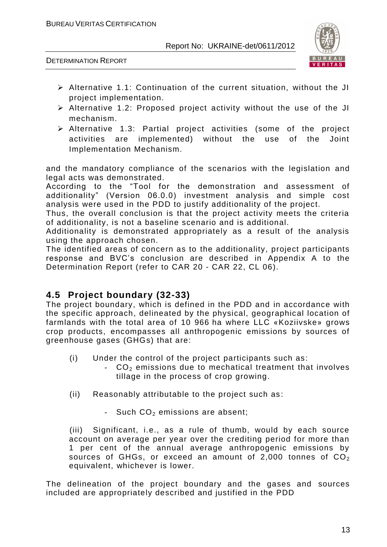

DETERMINATION REPORT

- Alternative 1.1: Continuation of the current situation, without the JI project implementation.
- $\triangleright$  Alternative 1.2: Proposed project activity without the use of the JI mechanism.
- Alternative 1.3: Partial project activities (some of the project activities are implemented) without the use of the Joint Implementation Mechanism.

and the mandatory compliance of the scenarios with the legislation and legal acts was demonstrated.

According to the "Tool for the demonstration and assessment of additionality" (Version 06.0.0) investment analysis and simple cost analysis were used in the PDD to justify additionality of the project.

Thus, the overall conclusion is that the project activity meets the criteria of additionality, is not a baseline scenario and is additional.

Additionality is demonstrated appropriately as a result of the analysis using the approach chosen.

The identified areas of concern as to the additionality, project participants response and BVC's conclusion are described in Appendix A to the Determination Report (refer to CAR 20 - CAR 22, CL 06).

# **4.5 Project boundary (32-33)**

The project boundary, which is defined in the PDD and in accordance with the specific approach, delineated by the physical, geographical location of farmlands with the total area of 10 966 ha where LLC «Koziivske» grows crop products, encompasses all anthropogenic emissions by sources of greenhouse gases (GHGs) that are:

- (i) Under the control of the project participants such as:
	- CO<sub>2</sub> emissions due to mechatical treatment that involves tillage in the process of crop growing.
- (ii) Reasonably attributable to the project such as :
	- **-** Such CO<sub>2</sub> emissions are absent;

(iii) Significant, i.e., as a rule of thumb, would by each source account on average per year over the crediting period for more than 1 per cent of the annual average anthropogenic emissions by sources of GHGs, or exceed an amount of 2,000 tonnes of  $CO<sub>2</sub>$ equivalent, whichever is lower.

The delineation of the project boundary and the gases and sources included are appropriately described and justified in the PDD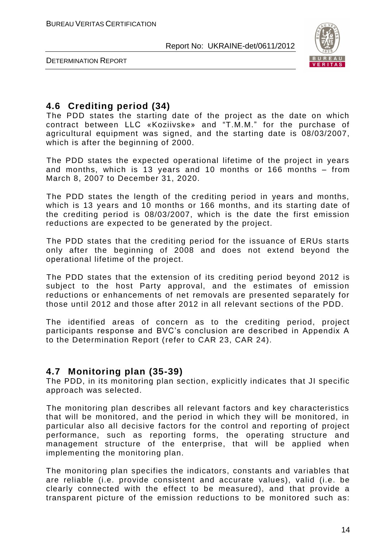

DETERMINATION REPORT

# **4.6 Crediting period (34)**

The PDD states the starting date of the project as the date on which contract between LLC «Koziivske» and "T.M.M." for the purchase of agricultural equipment was signed, and the starting date is 08/03/2007, which is after the beginning of 2000.

The PDD states the expected operational lifetime of the project in years and months, which is 13 years and 10 months or 166 months – from March 8, 2007 to December 31, 2020.

The PDD states the length of the crediting period in years and months, which is 13 years and 10 months or 166 months, and its starting date of the crediting period is 08/03/2007, which is the date the first emission reductions are expected to be generated by the project.

The PDD states that the crediting period for the issuance of ERUs starts only after the beginning of 2008 and does not extend beyond the operational lifetime of the project.

The PDD states that the extension of its crediting period beyond 2012 is subject to the host Party approval, and the estimates of emission reductions or enhancements of net removals are presented separately for those until 2012 and those after 2012 in all relevant sections of the PDD.

The identified areas of concern as to the crediting period, project participants response and BVC's conclusion are described in Appendix A to the Determination Report (refer to CAR 23, CAR 24).

# **4.7 Monitoring plan (35-39)**

The PDD, in its monitoring plan section, explicitly indicates that JI specific approach was selected.

The monitoring plan describes all relevant factors and key characteristics that will be monitored, and the period in which they will be monitored, in particular also all decisive factors for the control and reporting of project performance, such as reporting forms, the operating structure and management structure of the enterprise, that will be applied when implementing the monitoring plan.

The monitoring plan specifies the indicators, constants and variables that are reliable (i.e. provide consistent and accurate values), valid (i.e. be clearly connected with the effect to be measured), and that provide a transparent picture of the emission reductions to be monitored such as: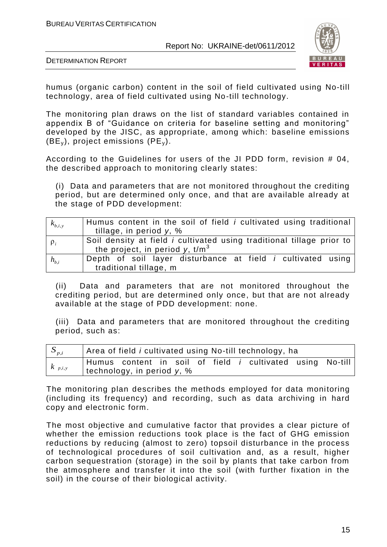

DETERMINATION REPORT

humus (organic carbon) content in the soil of field cultivated using No-till technology, area of field cultivated using No-till technology.

The monitoring plan draws on the list of standard variables contained in appendix B of "Guidance on criteria for baseline setting and monitoring" developed by the JISC, as appropriate, among which: baseline emissions  $(BE_y)$ , project emissions  $(PE_y)$ .

According to the Guidelines for users of the JI PDD form, revision # 04, the described approach to monitoring clearly states:

(i) Data and parameters that are not monitored throughout the crediting period, but are determined only once, and that are available already at the stage of PDD development:

| $k_{b,i,y}$ | Humus content in the soil of field <i>i</i> cultivated using traditional<br>tillage, in period $v$ , %           |
|-------------|------------------------------------------------------------------------------------------------------------------|
| $\rho_i$    | Soil density at field <i>i</i> cultivated using traditional tillage prior to<br>the project, in period y, $t/m3$ |
| $h_{b,i}$   | Depth of soil layer disturbance at field <i>i</i> cultivated using<br>traditional tillage, m                     |

(ii) Data and parameters that are not monitored throughout the crediting period, but are determined only once, but that are not already available at the stage of PDD development: none.

(iii) Data and parameters that are monitored throughout the crediting period, such as:

| $S_{p,i}$   | Area of field i cultivated using No-till technology, ha |                               |  |  |  |  |  |                                                                  |  |  |
|-------------|---------------------------------------------------------|-------------------------------|--|--|--|--|--|------------------------------------------------------------------|--|--|
| $k_{p,i,y}$ |                                                         | technology, in period $y$ , % |  |  |  |  |  | Humus content in soil of field <i>i</i> cultivated using No-till |  |  |

The monitoring plan describes the methods employed for data monitoring (including its frequency) and recording, such as data archiving in hard copy and electronic form.

The most objective and cumulative factor that provides a clear picture of whether the emission reductions took place is the fact of GHG emission reductions by reducing (almost to zero) topsoil disturbance in the process of technological procedures of soil cultivation and, as a result, higher carbon sequestration (storage) in the soil by plants that take carbon from the atmosphere and transfer it into the soil (with further fixation in the soil) in the course of their biological activity.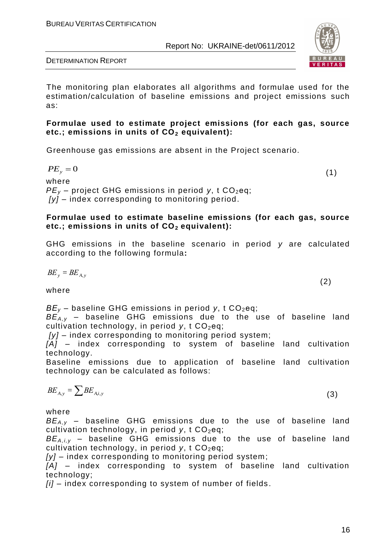

DETERMINATION REPORT

The monitoring plan elaborates all algorithms and formulae used for the estimation/calculation of baseline emissions and project emissions such as:

#### **Formulae used to estimate project emissions (for each gas, source etc.; emissions in units of CO<sup>2</sup> equivalent):**

Greenhouse gas emissions are absent in the Project scenario.

$$
PE_{y}=0
$$

(1)

where  $PE<sub>v</sub>$  – project GHG emissions in period *y*, t CO<sub>2</sub>eq; *[y] –* index corresponding to monitoring period.

#### **Formulae used to estimate baseline emissions (for each gas, source etc.; emissions in units of CO2 equivalent):**

GHG emissions in the baseline scenario in period *y* are calculated according to the following formula**:**

 $(2)$ 

$$
B\!E_y = B\!E_{A,y}
$$

where

 $BE_v$  – baseline GHG emissions in period *y*, t CO<sub>2</sub>eq;

*BEA,y* – baseline GHG emissions due to the use of baseline land cultivation technology, in period *y*, t CO<sub>2</sub>eq;

*[y]* – index corresponding to monitoring period system;

*[A]* – index corresponding to system of baseline land cultivation technology.

Baseline emissions due to application of baseline land cultivation technology can be calculated as follows:

$$
BE_{A,y} = \sum BE_{A,i,y} \tag{3}
$$

where

*BEA,y* – baseline GHG emissions due to the use of baseline land cultivation technology, in period *y*, t CO<sub>2</sub>eq;

*BEA,i,y* – baseline GHG emissions due to the use of baseline land cultivation technology, in period *y*, t CO<sub>2</sub>eq;

*[y]* – index corresponding to monitoring period system;

*[A]* – index corresponding to system of baseline land cultivation technology;

*[i]* – index corresponding to system of number of fields .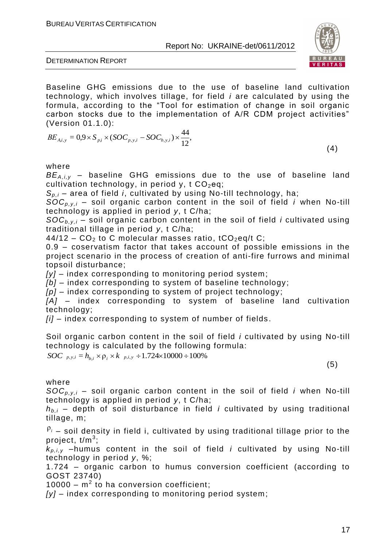

DETERMINATION REPORT

Baseline GHG emissions due to the use of baseline land cultivation technology, which involves tillage, for field *i* are calculated by using the formula, according to the "Tool for estimation of change in soil organic carbon stocks due to the implementation of A/R CDM project activities" (Version 01.1.0):

$$
BE_{A,i,y} = 0.9 \times S_{p,i} \times (SOC_{p,y,i} - SOC_{b,y,i}) \times \frac{44}{12},
$$

 $\left( 4\right)$ 

#### where

*BEA,i,y* – baseline GHG emissions due to the use of baseline land cultivation technology, in period y, t  $CO<sub>2</sub>$ eq;

*Sp,i* – area of field *i*, cultivated by using No-till technology, ha;

 $SOC_{p,v,i}$  – soil organic carbon content in the soil of field *i* when No-till technology is applied in period *y*, t C/ha;

 $SOC_{b,v,i}$  – soil organic carbon content in the soil of field *i* cultivated using traditional tillage in period *y*, t C/ha;

 $44/12$  – CO<sub>2</sub> to C molecular masses ratio, tCO<sub>2</sub>eq/t C;

0.9 – coservatism factor that takes account of possible emissions in the project scenario in the process of creation of anti-fire furrows and minimal topsoil disturbance;

*[y]* – index corresponding to monitoring period system;

*[b]* – index corresponding to system of baseline technology;

*[p]* – index corresponding to system of project technology;

[A] – index corresponding to system of baseline land cultivation technology;

*[i]* – index corresponding to system of number of fields .

Soil organic carbon content in the soil of field *i* cultivated by using No-till technology is calculated by the following formula:

*SOC*  $_{p,y,i} = h_{b,i} \times \rho_i \times k_{p,i,y} \div 1.724 \times 10000 \div 100\%$ 

(5)

#### where

 $SOC_{p,v,i}$  – soil organic carbon content in the soil of field *i* when No-till technology is applied in period *y*, t C/ha;

*hb,i* – depth of soil disturbance in field *і* cultivated by using traditional tillage, m;

 $P_i$  – soil density in field i, cultivated by using traditional tillage prior to the project, t/m<sup>3</sup>;

 $k_{p,i,v}$  –humus content in the soil of field *i* cultivated by using No-till technology in period *y*, %;

1.724 – organic carbon to humus conversion coefficient (according to GOST 23740)

 $10000 - m^2$  to ha conversion coefficient;

*[y]* – index corresponding to monitoring period system;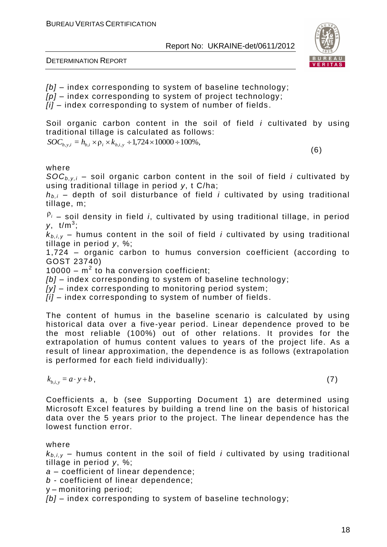

DETERMINATION REPORT

*[b]* – index corresponding to system of baseline technology; *[p]* – index corresponding to system of project technology; *[i]* – index corresponding to system of number of fields .

Soil organic carbon content in the soil of field *i* cultivated by using traditional tillage is calculated as follows:

 $SOC_{b,y,i} = h_{b,i} \times \rho_i \times k_{b,i,y} \div 1,724 \times 10000 \div 100\%,$ 

(6)

where

 $SOC_{b,v,i}$  – soil organic carbon content in the soil of field *i* cultivated by using traditional tillage in period *y*, t C/ha;

 $h_{b,i}$  – depth of soil disturbance of field *i* cultivated by using traditional tillage, m;

<sup>ρ</sup>*<sup>i</sup>* – soil density in field *i*, cultivated by using traditional tillage, in period *y*, t/m<sup>3</sup> ;

 $k_{b,i,v}$  – humus content in the soil of field *i* cultivated by using traditional tillage in period *y*, %;

1,724 – organic carbon to humus conversion coefficient (according to GOST 23740)

 $10000 - m^2$  to ha conversion coefficient;

*[b]* – index corresponding to system of baseline technology;

*[y]* – index corresponding to monitoring period system;

*[i]* – index corresponding to system of number of fields .

The content of humus in the baseline scenario is calculated by using historical data over a five-year period. Linear dependence proved to be the most reliable (100%) out of other relations. It provides for the extrapolation of humus content values to years of the project life. As a result of linear approximation, the dependence is as follows (extrapolation is performed for each field individually):

 $k_{b,i,y} = a \cdot y + b$ ,  $\cdot y+b$ , (7)

Coefficients a, b (see Supporting Document 1) are determined using Microsoft Excel features by building a trend line on the basis of historical data over the 5 years prior to the project. The linear dependence has the lowest function error.

#### where

 $k_{b,i,y}$  – humus content in the soil of field *i* cultivated by using traditional tillage in period *y*, %;

*a* – coefficient of linear dependence;

*b* - coefficient of linear dependence;

y – monitoring period;

*[b]* – index corresponding to system of baseline technology;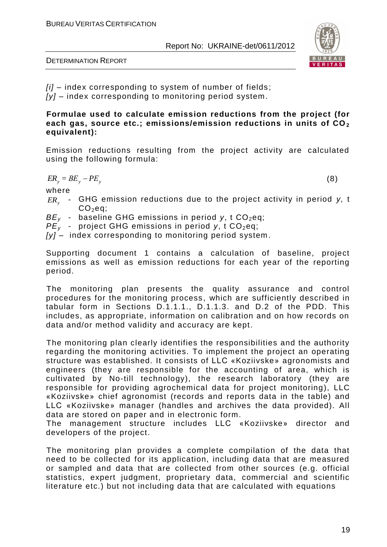

DETERMINATION REPORT

*[i]* – index corresponding to system of number of fields ; *[y]* – index corresponding to monitoring period system.

#### **Formulae used to calculate emission reductions from the project (for each gas, source etc.; emissions/emission reductions in units of CO<sup>2</sup> equivalent):**

Emission reductions resulting from the project activity are calculated using the following formula:

 $ER_y = BE_y - PE_y$ 

(8)

where

- *ER<sup>y</sup>* GHG emission reductions due to the project activity in period *y,* t  $CO<sub>2</sub>$ eq;
- $BE_v$  baseline GHG emissions in period *y*, t CO<sub>2</sub>eq;
- $PE<sub>v</sub>$  project GHG emissions in period *y*, t CO<sub>2</sub>eq;
- *[y]* index corresponding to monitoring period system.

Supporting document 1 contains a calculation of baseline, project emissions as well as emission reductions for each year of the reporting period.

The monitoring plan presents the quality assurance and control procedures for the monitoring process , which are sufficiently described in tabular form in Sections D.1.1.1., D.1.1.3. and D.2 of the PDD. This includes, as appropriate, information on calibration and on how records on data and/or method validity and accuracy are kept.

The monitoring plan clearly identifies the responsibilities and the authority regarding the monitoring activities. To implement the project an operating structure was established. It consists of LLC «Koziivske» agronomists and engineers (they are responsible for the accounting of area, which is cultivated by No-till technology), the research laboratory (they are responsible for providing agrochemical data for project monitoring), LLC «Koziivske» chief agronomist (records and reports data in the table) and LLC «Koziivske» manager (handles and archives the data provided). All data are stored on paper and in electronic form.

The management structure includes LLC «Koziivske» director and developers of the project.

The monitoring plan provides a complete compilation of the data that need to be collected for its application, including data that are measured or sampled and data that are collected from other sources (e.g. official statistics, expert judgment, proprietary data, commercial and scientific literature etc.) but not including data that are calculated with equations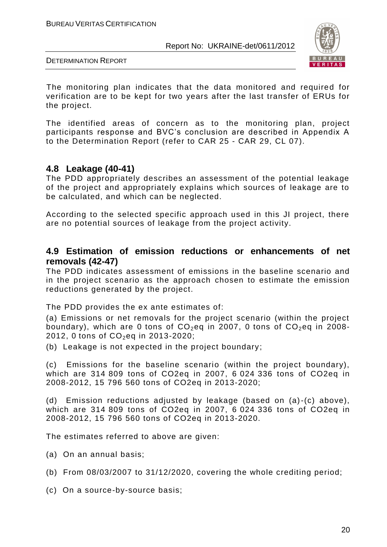

DETERMINATION REPORT

The monitoring plan indicates that the data monitored and required for verification are to be kept for two years after the last transfer of ERUs for the project.

The identified areas of concern as to the monitoring plan, project participants response and BVC's conclusion are described in Appendix A to the Determination Report (refer to CAR 25 - CAR 29, CL 07).

# **4.8 Leakage (40-41)**

The PDD appropriately describes an assessment of the potential leakage of the project and appropriately explains which sources of leakage are to be calculated, and which can be neglected.

According to the selected specific approach used in this JI project, there are no potential sources of leakage from the project activity.

### **4.9 Estimation of emission reductions or enhancements of net removals (42-47)**

The PDD indicates assessment of emissions in the baseline scenario and in the project scenario as the approach chosen to estimate the emission reductions generated by the project.

The PDD provides the ex ante estimates of:

(a) Emissions or net removals for the project scenario (within the project boundary), which are 0 tons of  $CO<sub>2</sub>$ eq in 2007, 0 tons of  $CO<sub>2</sub>$ eq in 2008-2012, 0 tons of  $CO_2$ eq in 2013-2020;

(b) Leakage is not expected in the project boundary;

(c) Emissions for the baseline scenario (within the project boundary), which are 314 809 tons of CO2eq in 2007, 6 024 336 tons of CO2eq in 2008-2012, 15 796 560 tons of CO2eq in 2013-2020;

(d) Emission reductions adjusted by leakage (based on (a)-(c) above), which are 314 809 tons of CO2eq in 2007, 6 024 336 tons of CO2eq in 2008-2012, 15 796 560 tons of CO2eq in 2013-2020.

The estimates referred to above are given:

- (a) On an annual basis;
- (b) From 08/03/2007 to 31/12/2020, covering the whole crediting period;
- (c) On a source-by-source basis;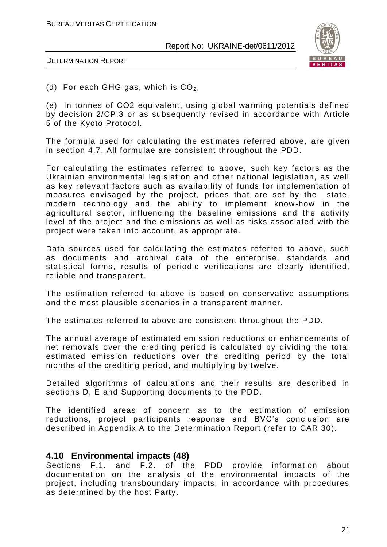

DETERMINATION REPORT

(d) For each GHG gas, which is  $CO<sub>2</sub>$ ;

(e) In tonnes of CO2 equivalent, using global warming potentials defined by decision 2/CP.3 or as subsequently revised in accordance with Article 5 of the Kyoto Protocol.

The formula used for calculating the estimates referred above, are given in section 4.7. All formulae are consistent throughout the PDD.

For calculating the estimates referred to above, such key factors as the Ukrainian environmental legislation and other national legislation, as well as key relevant factors such as availability of funds for implementation of measures envisaged by the project, prices that are set by the state, modern technology and the ability to implement know-how in the agricultural sector, influencing the baseline emissions and the activity level of the project and the emissions as well as risks associated with the project were taken into account, as appropriate.

Data sources used for calculating the estimates referred to above, such as documents and archival data of the enterprise, standards and statistical forms, results of periodic verifications are clearly identified, reliable and transparent.

The estimation referred to above is based on conservative assumptions and the most plausible scenarios in a transparent manner.

The estimates referred to above are consistent throu ghout the PDD.

The annual average of estimated emission reductions or enhancements of net removals over the crediting period is calculated by dividing the total estimated emission reductions over the crediting period by the total months of the crediting period, and multiplying by twelve.

Detailed algorithms of calculations and their results are described in sections D, E and Supporting documents to the PDD.

The identified areas of concern as to the estimation of emission reductions, project participants response and BVC's conclusion are described in Appendix A to the Determination Report (refer to CAR 30).

#### **4.10 Environmental impacts (48)**

Sections F.1. and F.2. of the PDD provide information about documentation on the analysis of the environmental impacts of the project, including transboundary impacts, in accordance with procedures as determined by the host Party.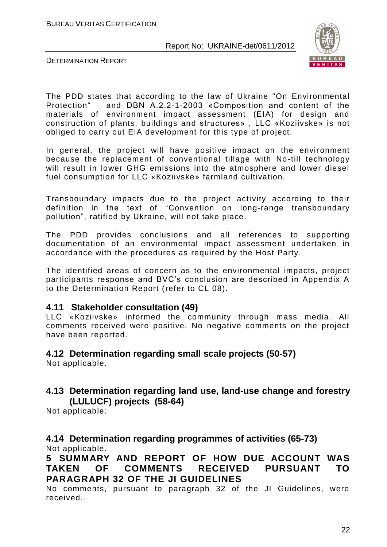

DETERMINATION REPORT

The PDD states that according to the law of Ukraine "On Environmental Protection" and DBN А.2.2-1-2003 «Composition and content of the materials of environment impact assessment (EIA) for design and construction of plants, buildings and structures» , LLC «Koziivske» is not obliged to carry out EIA development for this type of project.

In general, the project will have positive impact on the environment because the replacement of conventional tillage with No -till technology will result in lower GHG emissions into the atmosphere and lower diesel fuel consumption for LLC «Koziivske» farmland cultivation.

Transboundary impacts due to the project activity according to their definition in the text of "Convention on long-range transboundary pollution", ratified by Ukraine, will not take place.

The PDD provides conclusions and all references to supporting documentation of an environmental impact assessment undertaken in accordance with the procedures as required by the Host Party.

The identified areas of concern as to the environmental impacts, project participants response and BVC's conclusion are described in Appendix A to the Determination Report (refer to CL 08).

#### **4.11 Stakeholder consultation (49)**

LLC «Koziivske» informed the community through mass media. All comments received were positive. No negative comments on the project have been reported.

# **4.12 Determination regarding small scale projects (50-57)**

Not applicable.

# **4.13 Determination regarding land use, land-use change and forestry (LULUCF) projects (58-64)**

Not applicable.

**4.14 Determination regarding programmes of activities (65-73)** Not applicable.

**5 SUMMARY AND REPORT OF HOW DUE ACCOUNT WAS TAKEN OF COMMENTS RECEIVED PURSUANT TO PARAGRAPH 32 OF THE JI GUIDELINES**

No comments, pursuant to paragraph 32 of the JI Guidelines, were received.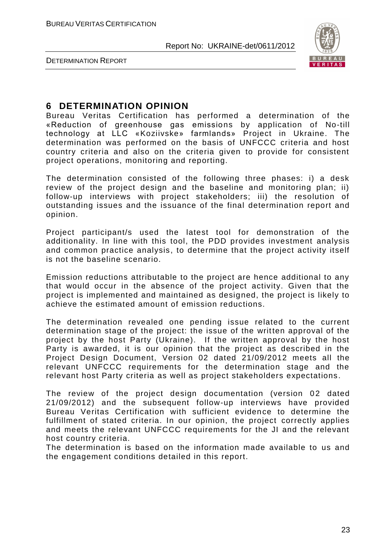

DETERMINATION REPORT

# **6 DETERMINATION OPINION**

Bureau Veritas Certification has performed a determination of the «Reduction of greenhouse gas emissions by application of No-till technology at LLC «Koziivske» farmlands» Project in Ukraine. The determination was performed on the basis of UNFCCC criteria and host country criteria and also on the criteria given to provide for consistent project operations, monitoring and reporting.

The determination consisted of the following three phases: i) a desk review of the project design and the baseline and monitoring plan; ii) follow-up interviews with project stakeholders; iii) the resolution of outstanding issues and the issuance of the final determination report and opinion.

Project participant/s used the latest tool for demonstration of the additionality. In line with this tool, the PDD provides investment analysis and common practice analysis, to determine that the project activity itself is not the baseline scenario.

Emission reductions attributable to the project are hence additional to any that would occur in the absence of the project activity. Given that the project is implemented and maintained as designed, the project is likely to achieve the estimated amount of emission reductions.

The determination revealed one pending issue related to the current determination stage of the project: the issue of the written approval of the project by the host Party (Ukraine). If the written approval by the host Party is awarded, it is our opinion that the project as described in the Project Design Document, Version 02 dated 21/09/2012 meets all the relevant UNFCCC requirements for the determination stage and the relevant host Party criteria as well as project stakeholders expectations .

The review of the project design documentation (version 02 dated 21/09/2012) and the subsequent follow-up interviews have provided Bureau Veritas Certification with sufficient evidence to determine the fulfillment of stated criteria. In our opinion, the project correctly applies and meets the relevant UNFCCC requirements for the JI and the relevant host country criteria.

The determination is based on the information made available to us and the engagement conditions detailed in this report.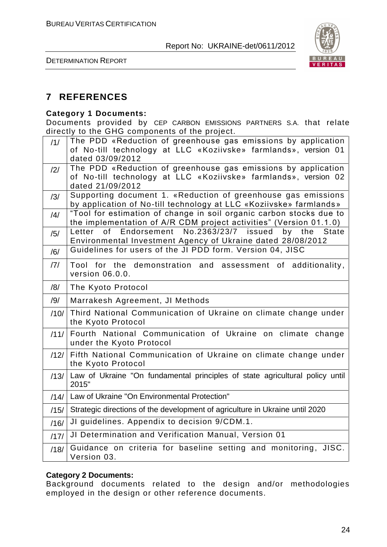

DETERMINATION REPORT

# **7 REFERENCES**

#### **Category 1 Documents:**

Documents provided by CEP CARBON EMISSIONS PARTNERS S.A. that relate directly to the GHG components of the project.

| /1/  | The PDD «Reduction of greenhouse gas emissions by application                         |
|------|---------------------------------------------------------------------------------------|
|      | of No-till technology at LLC «Koziivske» farmlands», version 01                       |
|      | dated 03/09/2012                                                                      |
| /2/  | The PDD «Reduction of greenhouse gas emissions by application                         |
|      | of No-till technology at LLC «Koziivske» farmlands», version 02<br>dated 21/09/2012   |
| /3/  | Supporting document 1. «Reduction of greenhouse gas emissions                         |
|      | by application of No-till technology at LLC «Koziivske» farmlands»                    |
| /4/  | "Tool for estimation of change in soil organic carbon stocks due to                   |
|      | the implementation of A/R CDM project activities" (Version 01.1.0)                    |
| /5/  | of Endorsement No.2363/23/7 issued<br>by the State<br>Letter                          |
|      | Environmental Investment Agency of Ukraine dated 28/08/2012                           |
| /6/  | Guidelines for users of the JI PDD form. Version 04, JISC                             |
| 7    | Tool for the demonstration and assessment of additionality,                           |
|      | version 06.0.0.                                                                       |
| /8/  | The Kyoto Protocol                                                                    |
| /9/  | Marrakesh Agreement, JI Methods                                                       |
| /10/ | Third National Communication of Ukraine on climate change under                       |
|      | the Kyoto Protocol                                                                    |
| /11/ | Fourth National Communication of Ukraine on climate change                            |
|      | under the Kyoto Protocol                                                              |
| /12/ | Fifth National Communication of Ukraine on climate change under                       |
|      | the Kyoto Protocol                                                                    |
| /13/ | Law of Ukraine "On fundamental principles of state agricultural policy until<br>2015" |
|      |                                                                                       |
| /14/ | Law of Ukraine "On Environmental Protection"                                          |
| /15/ | Strategic directions of the development of agriculture in Ukraine until 2020          |
| /16/ | JI guidelines. Appendix to decision 9/CDM.1.                                          |
| /17/ | JI Determination and Verification Manual, Version 01                                  |
| /18/ | Guidance on criteria for baseline setting and monitoring, JISC.                       |
|      | Version 03.                                                                           |

#### **Category 2 Documents:**

Background documents related to the design and/or methodologies employed in the design or other reference documents.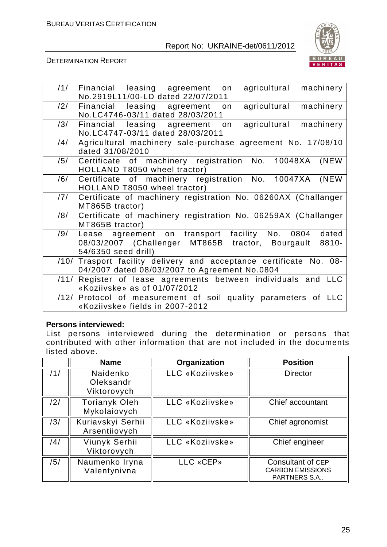

DETERMINATION REPORT

| /1/  | agricultural<br>machinery<br>Financial leasing agreement<br>on<br>No.2919L11/00-LD dated 22/07/2011                                            |
|------|------------------------------------------------------------------------------------------------------------------------------------------------|
| /2/  | agricultural<br>leasing agreement<br>machinery<br>Financial<br>on<br>No.LC4746-03/11 dated 28/03/2011                                          |
| /3/  | machinery<br>leasing agreement<br>agricultural<br>Financial<br>on<br>No.LC4747-03/11 dated 28/03/2011                                          |
| /4/  | Agricultural machinery sale-purchase agreement No. 17/08/10<br>dated 31/08/2010                                                                |
| /5/  | Certificate of machinery registration No. 10048XA<br>(NEW<br>HOLLAND T8050 wheel tractor)                                                      |
| /6/  | Certificate of machinery registration No. 10047XA<br>(NEW)<br>HOLLAND T8050 wheel tractor)                                                     |
| /7/  | Certificate of machinery registration No. 06260AX (Challanger<br>MT865B tractor)                                                               |
| /8/  | Certificate of machinery registration No. 06259AX (Challanger<br>MT865B tractor)                                                               |
| /9/  | Lease agreement on transport facility No. 0804<br>dated<br>08/03/2007 (Challenger MT865B<br>tractor, Bourgault<br>8810-<br>54/6350 seed drill) |
| /10/ | Trasport facility delivery and acceptance certificate No. 08-<br>04/2007 dated 08/03/2007 to Agreement No.0804                                 |
| /11/ | Register of lease agreements between individuals and LLC<br>«Koziivske» as of 01/07/2012                                                       |
| /12/ | Protocol of measurement of soil quality parameters of LLC<br>«Koziivske» fields in 2007-2012                                                   |

#### **Persons interviewed:**

List persons interviewed during the determination or persons that contributed with other information that are not included in the documents listed above.

|     | <b>Name</b>                          | Organization    | <b>Position</b>                                              |
|-----|--------------------------------------|-----------------|--------------------------------------------------------------|
| /1/ | Naidenko<br>Oleksandr<br>Viktorovych | LLC «Koziivske» | <b>Director</b>                                              |
| /2/ | <b>Torianyk Oleh</b><br>Mykolaiovych | LLC «Koziivske» | Chief accountant                                             |
| /3/ | Kuriavskyi Serhii<br>Arsentiiovych   | LLC «Koziivske» | Chief agronomist                                             |
| /4/ | Viunyk Serhii<br>Viktorovych         | LLC «Koziivske» | Chief engineer                                               |
| /5/ | Naumenko Iryna<br>Valentynivna       | LLC «CEP»       | Consultant of CEP<br><b>CARBON EMISSIONS</b><br>PARTNERS S.A |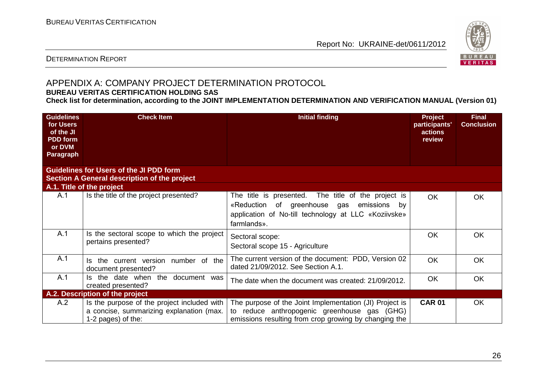

#### DETERMINATION REPORT

# APPENDIX A: COMPANY PROJECT DETERMINATION PROTOCOL

#### **BUREAU VERITAS CERTIFICATION HOLDING SAS**

**Check list for determination, according to the JOINT IMPLEMENTATION DETERMINATION AND VERIFICATION MANUAL (Version 01)**

| <b>Guidelines</b><br>for Users<br>of the JI<br><b>PDD</b> form<br>or DVM<br>Paragraph | <b>Check Item</b>                                                                                             | <b>Initial finding</b>                                                                                                                                                        | <b>Project</b><br>participants'<br>actions<br>review | <b>Final</b><br><b>Conclusion</b> |
|---------------------------------------------------------------------------------------|---------------------------------------------------------------------------------------------------------------|-------------------------------------------------------------------------------------------------------------------------------------------------------------------------------|------------------------------------------------------|-----------------------------------|
|                                                                                       | <b>Guidelines for Users of the JI PDD form</b><br>Section A General description of the project                |                                                                                                                                                                               |                                                      |                                   |
|                                                                                       | A.1. Title of the project                                                                                     |                                                                                                                                                                               |                                                      |                                   |
| A.1                                                                                   | Is the title of the project presented?                                                                        | The title is presented. The title of the project is<br>«Reduction of greenhouse gas<br>emissions<br>by<br>application of No-till technology at LLC «Koziivske»<br>farmlands». | OK.                                                  | OK.                               |
| A.1                                                                                   | Is the sectoral scope to which the project<br>pertains presented?                                             | Sectoral scope:<br>Sectoral scope 15 - Agriculture                                                                                                                            | <b>OK</b>                                            | <b>OK</b>                         |
| A.1                                                                                   | Is the current version number of the<br>document presented?                                                   | The current version of the document: PDD, Version 02<br>dated 21/09/2012. See Section A.1.                                                                                    | <b>OK</b>                                            | <b>OK</b>                         |
| A.1                                                                                   | Is the date when the document was<br>created presented?                                                       | The date when the document was created: 21/09/2012.                                                                                                                           | <b>OK</b>                                            | <b>OK</b>                         |
|                                                                                       | A.2. Description of the project                                                                               |                                                                                                                                                                               |                                                      |                                   |
| A.2                                                                                   | Is the purpose of the project included with<br>a concise, summarizing explanation (max.<br>1-2 pages) of the: | The purpose of the Joint Implementation (JI) Project is<br>to reduce anthropogenic greenhouse gas (GHG)<br>emissions resulting from crop growing by changing the              | <b>CAR 01</b>                                        | OK                                |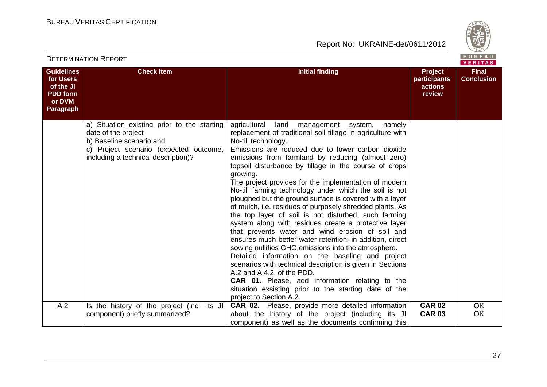



|                                                                                              | PLILIWIINAIIVIN IN IYU VINI                                                                                                                                                     |                                                                                                                                                                                                                                                                                                                                                                                                                                                                                                                                                                                                                                                                                                                                                                                                                                                                                                                                                                                                                                                                                                                                                         |                                               | VERITAS                           |
|----------------------------------------------------------------------------------------------|---------------------------------------------------------------------------------------------------------------------------------------------------------------------------------|---------------------------------------------------------------------------------------------------------------------------------------------------------------------------------------------------------------------------------------------------------------------------------------------------------------------------------------------------------------------------------------------------------------------------------------------------------------------------------------------------------------------------------------------------------------------------------------------------------------------------------------------------------------------------------------------------------------------------------------------------------------------------------------------------------------------------------------------------------------------------------------------------------------------------------------------------------------------------------------------------------------------------------------------------------------------------------------------------------------------------------------------------------|-----------------------------------------------|-----------------------------------|
| <b>Guidelines</b><br>for Users<br>of the JI<br><b>PDD</b> form<br>or DVM<br><b>Paragraph</b> | <b>Check Item</b>                                                                                                                                                               | <b>Initial finding</b>                                                                                                                                                                                                                                                                                                                                                                                                                                                                                                                                                                                                                                                                                                                                                                                                                                                                                                                                                                                                                                                                                                                                  | Project<br>participants'<br>actions<br>review | <b>Final</b><br><b>Conclusion</b> |
|                                                                                              | a) Situation existing prior to the starting<br>date of the project<br>b) Baseline scenario and<br>c) Project scenario (expected outcome,<br>including a technical description)? | agricultural<br>land<br>management system,<br>namely<br>replacement of traditional soil tillage in agriculture with<br>No-till technology.<br>Emissions are reduced due to lower carbon dioxide<br>emissions from farmland by reducing (almost zero)<br>topsoil disturbance by tillage in the course of crops<br>growing.<br>The project provides for the implementation of modern<br>No-till farming technology under which the soil is not<br>ploughed but the ground surface is covered with a layer<br>of mulch, i.e. residues of purposely shredded plants. As<br>the top layer of soil is not disturbed, such farming<br>system along with residues create a protective layer<br>that prevents water and wind erosion of soil and<br>ensures much better water retention; in addition, direct<br>sowing nullifies GHG emissions into the atmosphere.<br>Detailed information on the baseline and project<br>scenarios with technical description is given in Sections<br>A.2 and A.4.2. of the PDD.<br><b>CAR 01.</b> Please, add information relating to the<br>situation exsisting prior to the starting date of the<br>project to Section A.2. |                                               |                                   |
| A.2                                                                                          | Is the history of the project (incl. its JI<br>component) briefly summarized?                                                                                                   | <b>CAR 02.</b> Please, provide more detailed information<br>about the history of the project (including its JI<br>component) as well as the documents confirming this                                                                                                                                                                                                                                                                                                                                                                                                                                                                                                                                                                                                                                                                                                                                                                                                                                                                                                                                                                                   | <b>CAR 02</b><br><b>CAR 03</b>                | <b>OK</b><br>OK                   |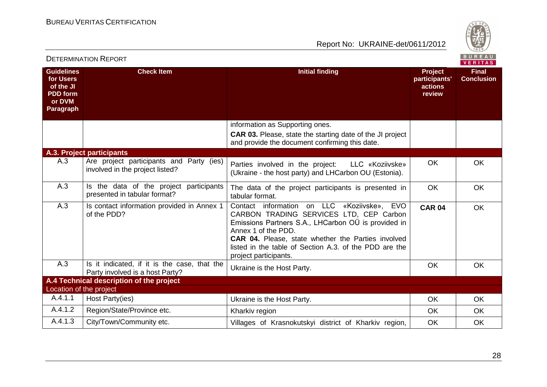

|                                                                                              | <b>DETERMINATION REPORT</b>                                                     |                                                                                                                                                                                                                                                                                                                      |                                               |                                   |  |
|----------------------------------------------------------------------------------------------|---------------------------------------------------------------------------------|----------------------------------------------------------------------------------------------------------------------------------------------------------------------------------------------------------------------------------------------------------------------------------------------------------------------|-----------------------------------------------|-----------------------------------|--|
| <b>Guidelines</b><br>for Users<br>of the JI<br><b>PDD</b> form<br>or DVM<br><b>Paragraph</b> | <b>Check Item</b>                                                               | <b>Initial finding</b>                                                                                                                                                                                                                                                                                               | Project<br>participants'<br>actions<br>review | <b>Final</b><br><b>Conclusion</b> |  |
|                                                                                              |                                                                                 | information as Supporting ones.<br><b>CAR 03.</b> Please, state the starting date of the JI project<br>and provide the document confirming this date.                                                                                                                                                                |                                               |                                   |  |
|                                                                                              | A.3. Project participants                                                       |                                                                                                                                                                                                                                                                                                                      |                                               |                                   |  |
| A.3                                                                                          | Are project participants and Party (ies)<br>involved in the project listed?     | Parties involved in the project:<br>LLC «Koziivske»<br>(Ukraine - the host party) and LHCarbon OU (Estonia).                                                                                                                                                                                                         | <b>OK</b>                                     | <b>OK</b>                         |  |
| A.3                                                                                          | Is the data of the project participants<br>presented in tabular format?         | The data of the project participants is presented in<br>tabular format.                                                                                                                                                                                                                                              | <b>OK</b>                                     | <b>OK</b>                         |  |
| A.3                                                                                          | Is contact information provided in Annex 1<br>of the PDD?                       | Contact information on LLC «Koziivske», EVO<br>CARBON TRADING SERVICES LTD, CEP Carbon<br>Emissions Partners S.A., LHCarbon OÜ is provided in<br>Annex 1 of the PDD.<br><b>CAR 04.</b> Please, state whether the Parties involved<br>listed in the table of Section A.3. of the PDD are the<br>project participants. | <b>CAR 04</b>                                 | <b>OK</b>                         |  |
| A.3                                                                                          | Is it indicated, if it is the case, that the<br>Party involved is a host Party? | Ukraine is the Host Party.                                                                                                                                                                                                                                                                                           | <b>OK</b>                                     | <b>OK</b>                         |  |
|                                                                                              | A.4 Technical description of the project                                        |                                                                                                                                                                                                                                                                                                                      |                                               |                                   |  |
| Location of the project                                                                      |                                                                                 |                                                                                                                                                                                                                                                                                                                      |                                               |                                   |  |
| A.4.1.1                                                                                      | Host Party(ies)                                                                 | Ukraine is the Host Party.                                                                                                                                                                                                                                                                                           | <b>OK</b>                                     | <b>OK</b>                         |  |
| A.4.1.2                                                                                      | Region/State/Province etc.                                                      | Kharkiv region                                                                                                                                                                                                                                                                                                       | OK                                            | <b>OK</b>                         |  |
| A.4.1.3                                                                                      | City/Town/Community etc.                                                        | Villages of Krasnokutskyi district of Kharkiv region,                                                                                                                                                                                                                                                                | OK                                            | <b>OK</b>                         |  |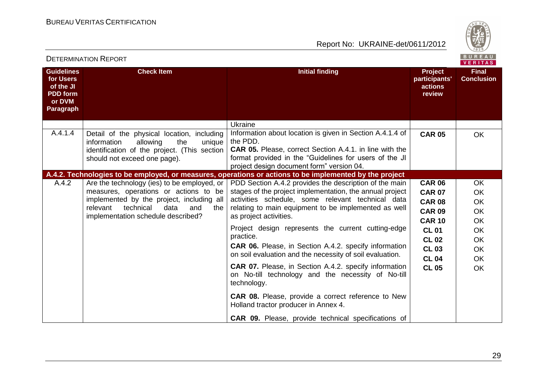DETERMINATION REPORT

Report No: UKRAINE-det/0611/2012



|                                                                                       |                                                                                                                                                                                                                            |                                                                                                                                                                                                                                                                                                                                                                                                                                                                                                                                                                                                                                                                                                    |                                                                                                                                                                   | $V = H + H - H$                                                                                                         |
|---------------------------------------------------------------------------------------|----------------------------------------------------------------------------------------------------------------------------------------------------------------------------------------------------------------------------|----------------------------------------------------------------------------------------------------------------------------------------------------------------------------------------------------------------------------------------------------------------------------------------------------------------------------------------------------------------------------------------------------------------------------------------------------------------------------------------------------------------------------------------------------------------------------------------------------------------------------------------------------------------------------------------------------|-------------------------------------------------------------------------------------------------------------------------------------------------------------------|-------------------------------------------------------------------------------------------------------------------------|
| <b>Guidelines</b><br>for Users<br>of the JI<br><b>PDD</b> form<br>or DVM<br>Paragraph | <b>Check Item</b>                                                                                                                                                                                                          | <b>Initial finding</b>                                                                                                                                                                                                                                                                                                                                                                                                                                                                                                                                                                                                                                                                             | Project<br>participants'<br>actions<br>review                                                                                                                     | <b>Final</b><br><b>Conclusion</b>                                                                                       |
|                                                                                       |                                                                                                                                                                                                                            | Ukraine                                                                                                                                                                                                                                                                                                                                                                                                                                                                                                                                                                                                                                                                                            |                                                                                                                                                                   |                                                                                                                         |
| A.4.1.4                                                                               | Detail of the physical location, including<br>information<br>allowing<br>the<br>unique<br>identification of the project. (This section<br>should not exceed one page).                                                     | Information about location is given in Section A.4.1.4 of<br>the PDD.<br><b>CAR 05.</b> Please, correct Section A.4.1. in line with the<br>format provided in the "Guidelines for users of the JI<br>project design document form" version 04.                                                                                                                                                                                                                                                                                                                                                                                                                                                     | <b>CAR 05</b>                                                                                                                                                     | <b>OK</b>                                                                                                               |
|                                                                                       |                                                                                                                                                                                                                            | A.4.2. Technologies to be employed, or measures, operations or actions to be implemented by the project                                                                                                                                                                                                                                                                                                                                                                                                                                                                                                                                                                                            |                                                                                                                                                                   |                                                                                                                         |
| A.4.2                                                                                 | Are the technology (ies) to be employed, or $ $<br>measures, operations or actions to be<br>implemented by the project, including all<br>relevant<br>technical<br>data<br>and<br>the<br>implementation schedule described? | PDD Section A.4.2 provides the description of the main<br>stages of the project implementation, the annual project<br>activities schedule, some relevant technical data<br>relating to main equipment to be implemented as well<br>as project activities.<br>Project design represents the current cutting-edge<br>practice.<br><b>CAR 06.</b> Please, in Section A.4.2. specify information<br>on soil evaluation and the necessity of soil evaluation.<br><b>CAR 07.</b> Please, in Section A.4.2. specify information<br>on No-till technology and the necessity of No-till<br>technology.<br><b>CAR 08.</b> Please, provide a correct reference to New<br>Holland tractor producer in Annex 4. | <b>CAR 06</b><br><b>CAR 07</b><br><b>CAR 08</b><br><b>CAR 09</b><br><b>CAR 10</b><br><b>CL 01</b><br><b>CL 02</b><br><b>CL 03</b><br><b>CL 04</b><br><b>CL 05</b> | <b>OK</b><br>OK<br><b>OK</b><br><b>OK</b><br><b>OK</b><br><b>OK</b><br><b>OK</b><br><b>OK</b><br><b>OK</b><br><b>OK</b> |
|                                                                                       |                                                                                                                                                                                                                            | <b>CAR 09.</b> Please, provide technical specifications of                                                                                                                                                                                                                                                                                                                                                                                                                                                                                                                                                                                                                                         |                                                                                                                                                                   |                                                                                                                         |

29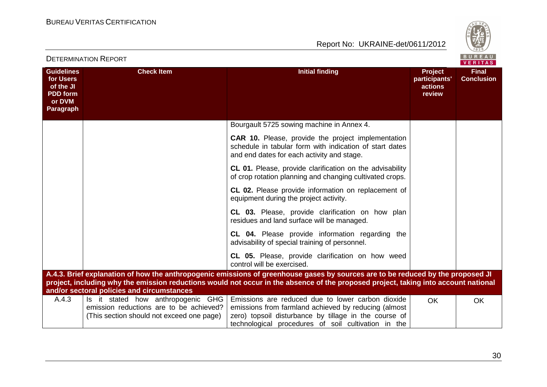



|                                                                                       | <b>DETERMINATION REPORT</b>                                                                                                |                                                                                                                                                                                                                                                                        |                                                      | BUREAU<br><b>VERITAS</b>          |
|---------------------------------------------------------------------------------------|----------------------------------------------------------------------------------------------------------------------------|------------------------------------------------------------------------------------------------------------------------------------------------------------------------------------------------------------------------------------------------------------------------|------------------------------------------------------|-----------------------------------|
| <b>Guidelines</b><br>for Users<br>of the JI<br><b>PDD</b> form<br>or DVM<br>Paragraph | <b>Check Item</b>                                                                                                          | <b>Initial finding</b>                                                                                                                                                                                                                                                 | <b>Project</b><br>participants'<br>actions<br>review | <b>Final</b><br><b>Conclusion</b> |
|                                                                                       |                                                                                                                            | Bourgault 5725 sowing machine in Annex 4.                                                                                                                                                                                                                              |                                                      |                                   |
|                                                                                       |                                                                                                                            | <b>CAR 10.</b> Please, provide the project implementation<br>schedule in tabular form with indication of start dates<br>and end dates for each activity and stage.                                                                                                     |                                                      |                                   |
|                                                                                       |                                                                                                                            | <b>CL 01.</b> Please, provide clarification on the advisability<br>of crop rotation planning and changing cultivated crops.                                                                                                                                            |                                                      |                                   |
|                                                                                       |                                                                                                                            | CL 02. Please provide information on replacement of<br>equipment during the project activity.                                                                                                                                                                          |                                                      |                                   |
|                                                                                       |                                                                                                                            | <b>CL 03.</b> Please, provide clarification on how plan<br>residues and land surface will be managed.                                                                                                                                                                  |                                                      |                                   |
|                                                                                       |                                                                                                                            | CL 04. Please provide information regarding the<br>advisability of special training of personnel.                                                                                                                                                                      |                                                      |                                   |
|                                                                                       |                                                                                                                            | CL 05. Please, provide clarification on how weed<br>control will be exercised.                                                                                                                                                                                         |                                                      |                                   |
|                                                                                       | and/or sectoral policies and circumstances                                                                                 | A.4.3. Brief explanation of how the anthropogenic emissions of greenhouse gases by sources are to be reduced by the proposed JI<br>project, including why the emission reductions would not occur in the absence of the proposed project, taking into account national |                                                      |                                   |
| A.4.3                                                                                 | Is it stated how anthropogenic GHG<br>emission reductions are to be achieved?<br>(This section should not exceed one page) | Emissions are reduced due to lower carbon dioxide<br>emissions from farmland achieved by reducing (almost<br>zero) topsoil disturbance by tillage in the course of<br>technological procedures of soil cultivation in the                                              | <b>OK</b>                                            | <b>OK</b>                         |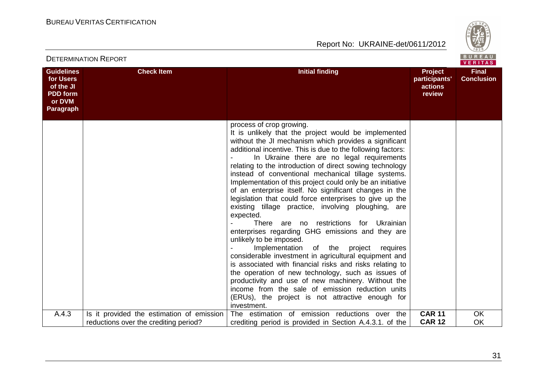

|                                                                                       | <b>DETERMINATION REPORT</b>                                                        |                                                                                                                                                                                                                                                                                                                                                                                                                                                                                                                                                                                                                                                                                                                                                                                                                                                                                                                                                                                                                                                                                                                                                                    |                                                      | BUREAU<br>VERITAS                 |
|---------------------------------------------------------------------------------------|------------------------------------------------------------------------------------|--------------------------------------------------------------------------------------------------------------------------------------------------------------------------------------------------------------------------------------------------------------------------------------------------------------------------------------------------------------------------------------------------------------------------------------------------------------------------------------------------------------------------------------------------------------------------------------------------------------------------------------------------------------------------------------------------------------------------------------------------------------------------------------------------------------------------------------------------------------------------------------------------------------------------------------------------------------------------------------------------------------------------------------------------------------------------------------------------------------------------------------------------------------------|------------------------------------------------------|-----------------------------------|
| <b>Guidelines</b><br>for Users<br>of the JI<br><b>PDD</b> form<br>or DVM<br>Paragraph | <b>Check Item</b>                                                                  | <b>Initial finding</b>                                                                                                                                                                                                                                                                                                                                                                                                                                                                                                                                                                                                                                                                                                                                                                                                                                                                                                                                                                                                                                                                                                                                             | <b>Project</b><br>participants'<br>actions<br>review | <b>Final</b><br><b>Conclusion</b> |
|                                                                                       |                                                                                    | process of crop growing.<br>It is unlikely that the project would be implemented<br>without the JI mechanism which provides a significant<br>additional incentive. This is due to the following factors:<br>In Ukraine there are no legal requirements<br>relating to the introduction of direct sowing technology<br>instead of conventional mechanical tillage systems.<br>Implementation of this project could only be an initiative<br>of an enterprise itself. No significant changes in the<br>legislation that could force enterprises to give up the<br>existing tillage practice, involving ploughing, are<br>expected.<br>There are no restrictions<br>for Ukrainian<br>enterprises regarding GHG emissions and they are<br>unlikely to be imposed.<br>Implementation<br>of the project requires<br>considerable investment in agricultural equipment and<br>is associated with financial risks and risks relating to<br>the operation of new technology, such as issues of<br>productivity and use of new machinery. Without the<br>income from the sale of emission reduction units<br>(ERUs), the project is not attractive enough for<br>investment. |                                                      |                                   |
| A.4.3                                                                                 | Is it provided the estimation of emission<br>reductions over the crediting period? | The estimation of emission reductions over the<br>crediting period is provided in Section A.4.3.1. of the                                                                                                                                                                                                                                                                                                                                                                                                                                                                                                                                                                                                                                                                                                                                                                                                                                                                                                                                                                                                                                                          | <b>CAR 11</b><br><b>CAR 12</b>                       | <b>OK</b><br><b>OK</b>            |
|                                                                                       |                                                                                    |                                                                                                                                                                                                                                                                                                                                                                                                                                                                                                                                                                                                                                                                                                                                                                                                                                                                                                                                                                                                                                                                                                                                                                    |                                                      |                                   |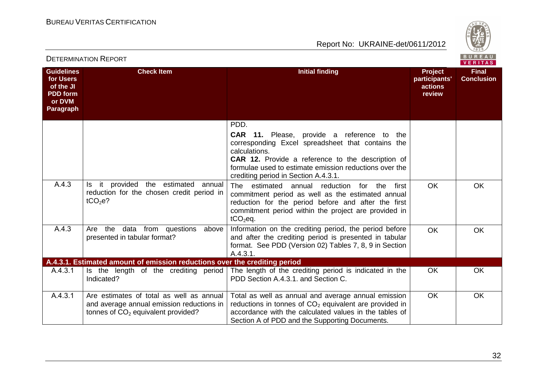

|                                                                                              | <b>DETERMINATION REPORT</b>                                                                                                   |                                                                                                                                                                                                                                                                                               | BUREAU<br><b>VERITAS</b>                      |                                   |
|----------------------------------------------------------------------------------------------|-------------------------------------------------------------------------------------------------------------------------------|-----------------------------------------------------------------------------------------------------------------------------------------------------------------------------------------------------------------------------------------------------------------------------------------------|-----------------------------------------------|-----------------------------------|
| <b>Guidelines</b><br>for Users<br>of the JI<br><b>PDD</b> form<br>or DVM<br><b>Paragraph</b> | <b>Check Item</b>                                                                                                             | <b>Initial finding</b>                                                                                                                                                                                                                                                                        | Project<br>participants'<br>actions<br>review | <b>Final</b><br><b>Conclusion</b> |
|                                                                                              |                                                                                                                               | PDD.<br><b>CAR 11.</b> Please, provide a reference to the<br>corresponding Excel spreadsheet that contains the<br>calculations.<br><b>CAR 12.</b> Provide a reference to the description of<br>formulae used to estimate emission reductions over the<br>crediting period in Section A.4.3.1. |                                               |                                   |
| A.4.3                                                                                        | Is it provided the estimated<br>annual<br>reduction for the chosen credit period in<br>$tCO2e$ ?                              | The estimated annual reduction for the<br>first<br>commitment period as well as the estimated annual<br>reduction for the period before and after the first<br>commitment period within the project are provided in<br>$tCO2$ eq.                                                             | <b>OK</b>                                     | <b>OK</b>                         |
| A.4.3                                                                                        | Are the<br>data from questions above<br>presented in tabular format?                                                          | Information on the crediting period, the period before<br>and after the crediting period is presented in tabular<br>format. See PDD (Version 02) Tables 7, 8, 9 in Section<br>A.4.3.1.                                                                                                        | <b>OK</b>                                     | <b>OK</b>                         |
|                                                                                              | A.4.3.1. Estimated amount of emission reductions over the crediting period                                                    |                                                                                                                                                                                                                                                                                               |                                               |                                   |
| A.4.3.1                                                                                      | Is the length of the crediting period<br>Indicated?                                                                           | The length of the crediting period is indicated in the<br>PDD Section A.4.3.1. and Section C.                                                                                                                                                                                                 | <b>OK</b>                                     | <b>OK</b>                         |
| A.4.3.1                                                                                      | Are estimates of total as well as annual<br>and average annual emission reductions in<br>tonnes of $CO2$ equivalent provided? | Total as well as annual and average annual emission<br>reductions in tonnes of $CO2$ equivalent are provided in<br>accordance with the calculated values in the tables of<br>Section A of PDD and the Supporting Documents.                                                                   | <b>OK</b>                                     | OK                                |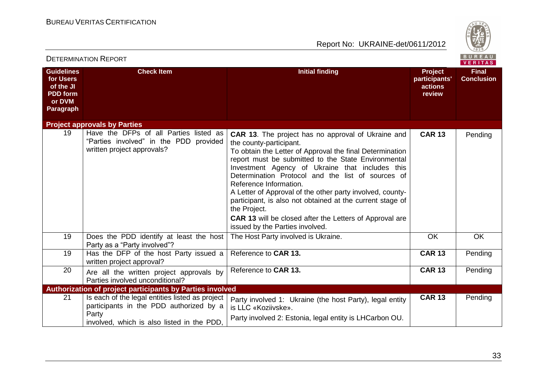

| <b>DETERMINATION REPORT</b>                                                           |                                                                                                                                                   | BUREAU<br>VERITAS                                                                                                                                                                                                                                                                                                                                                                                                                                                                                                                                                                        |                                                      |                                   |
|---------------------------------------------------------------------------------------|---------------------------------------------------------------------------------------------------------------------------------------------------|------------------------------------------------------------------------------------------------------------------------------------------------------------------------------------------------------------------------------------------------------------------------------------------------------------------------------------------------------------------------------------------------------------------------------------------------------------------------------------------------------------------------------------------------------------------------------------------|------------------------------------------------------|-----------------------------------|
| <b>Guidelines</b><br>for Users<br>of the JI<br><b>PDD</b> form<br>or DVM<br>Paragraph | <b>Check Item</b>                                                                                                                                 | <b>Initial finding</b>                                                                                                                                                                                                                                                                                                                                                                                                                                                                                                                                                                   | <b>Project</b><br>participants'<br>actions<br>review | <b>Final</b><br><b>Conclusion</b> |
|                                                                                       | <b>Project approvals by Parties</b>                                                                                                               |                                                                                                                                                                                                                                                                                                                                                                                                                                                                                                                                                                                          |                                                      |                                   |
| 19                                                                                    | Have the DFPs of all Parties listed as<br>"Parties involved" in the PDD<br>provided<br>written project approvals?                                 | <b>CAR 13.</b> The project has no approval of Ukraine and<br>the county-participant.<br>To obtain the Letter of Approval the final Determination<br>report must be submitted to the State Environmental<br>Investment Agency of Ukraine that includes this<br>Determination Protocol and the list of sources of<br>Reference Information.<br>A Letter of Approval of the other party involved, county-<br>participant, is also not obtained at the current stage of<br>the Project.<br><b>CAR 13</b> will be closed after the Letters of Approval are<br>issued by the Parties involved. | <b>CAR 13</b>                                        | Pending                           |
| 19                                                                                    | Does the PDD identify at least the host<br>Party as a "Party involved"?                                                                           | The Host Party involved is Ukraine.                                                                                                                                                                                                                                                                                                                                                                                                                                                                                                                                                      | OK                                                   | OK                                |
| 19                                                                                    | Has the DFP of the host Party issued a<br>written project approval?                                                                               | Reference to CAR 13.                                                                                                                                                                                                                                                                                                                                                                                                                                                                                                                                                                     | <b>CAR 13</b>                                        | Pending                           |
| 20                                                                                    | Are all the written project approvals by<br>Parties involved unconditional?                                                                       | Reference to CAR 13.                                                                                                                                                                                                                                                                                                                                                                                                                                                                                                                                                                     | <b>CAR 13</b>                                        | Pending                           |
|                                                                                       | Authorization of project participants by Parties involved                                                                                         |                                                                                                                                                                                                                                                                                                                                                                                                                                                                                                                                                                                          |                                                      |                                   |
| 21                                                                                    | Is each of the legal entities listed as project<br>participants in the PDD authorized by a<br>Party<br>involved, which is also listed in the PDD, | Party involved 1: Ukraine (the host Party), legal entity<br>is LLC «Koziivske».<br>Party involved 2: Estonia, legal entity is LHCarbon OU.                                                                                                                                                                                                                                                                                                                                                                                                                                               | <b>CAR 13</b>                                        | Pending                           |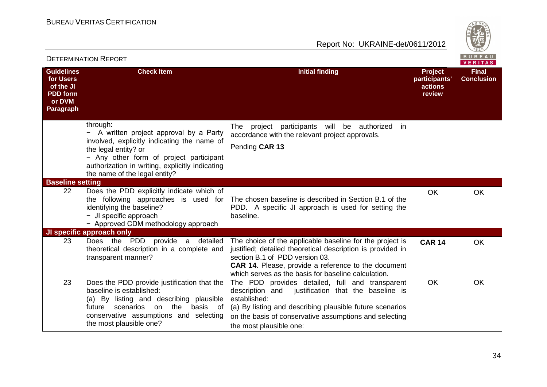

| <b>DETERMINATION REPORT</b>                                                                  |                                                                                                                                                                                                                                                         |                                                                                                                                                                                                                                                                               |                                                      | BUREAU<br>VERITAS                 |
|----------------------------------------------------------------------------------------------|---------------------------------------------------------------------------------------------------------------------------------------------------------------------------------------------------------------------------------------------------------|-------------------------------------------------------------------------------------------------------------------------------------------------------------------------------------------------------------------------------------------------------------------------------|------------------------------------------------------|-----------------------------------|
| <b>Guidelines</b><br>for Users<br>of the JI<br><b>PDD</b> form<br>or DVM<br><b>Paragraph</b> | <b>Check Item</b>                                                                                                                                                                                                                                       | <b>Initial finding</b>                                                                                                                                                                                                                                                        | <b>Project</b><br>participants'<br>actions<br>review | <b>Final</b><br><b>Conclusion</b> |
|                                                                                              | through:<br>A written project approval by a Party<br>involved, explicitly indicating the name of<br>the legal entity? or<br>- Any other form of project participant<br>authorization in writing, explicitly indicating<br>the name of the legal entity? | The project participants will be authorized in<br>accordance with the relevant project approvals.<br>Pending CAR 13                                                                                                                                                           |                                                      |                                   |
| <b>Baseline setting</b>                                                                      |                                                                                                                                                                                                                                                         |                                                                                                                                                                                                                                                                               |                                                      |                                   |
| 22                                                                                           | Does the PDD explicitly indicate which of<br>the following approaches is used for<br>identifying the baseline?<br>- JI specific approach<br>- Approved CDM methodology approach                                                                         | The chosen baseline is described in Section B.1 of the<br>PDD. A specific JI approach is used for setting the<br>baseline.                                                                                                                                                    | OK.                                                  | <b>OK</b>                         |
|                                                                                              | JI specific approach only                                                                                                                                                                                                                               |                                                                                                                                                                                                                                                                               |                                                      |                                   |
| 23                                                                                           | Does the PDD provide a detailed<br>theoretical description in a complete and<br>transparent manner?                                                                                                                                                     | The choice of the applicable baseline for the project is<br>justified; detailed theoretical description is provided in<br>section B.1 of PDD version 03.<br><b>CAR 14.</b> Please, provide a reference to the document<br>which serves as the basis for baseline calculation. | <b>CAR 14</b>                                        | OK                                |
| 23                                                                                           | Does the PDD provide justification that the<br>baseline is established:<br>(a) By listing and describing plausible<br>scenarios<br>the<br>basis of<br>future<br>on<br>conservative assumptions and selecting<br>the most plausible one?                 | The PDD provides detailed, full and transparent<br>description and<br>justification that the baseline is<br>established:<br>(a) By listing and describing plausible future scenarios<br>on the basis of conservative assumptions and selecting<br>the most plausible one:     | <b>OK</b>                                            | <b>OK</b>                         |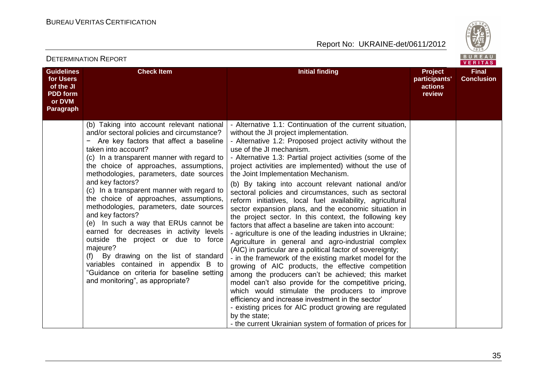

|                                                                                       | ו יוט ושיו יוטו והשווישו שב                                                                                                                                                                                                                                                                                                                                                                                                                                                                                                                                                                                                                                                                                                                                                          |                                                                                                                                                                                                                                                                                                                                                                                                                                                                                                                                                                                                                                                                                                                                                                                                                                                                                                                                                                                                                                                                                                                                                                                                                                                                                                                                                                                        | <b>VERITAS</b>                                       |                                   |
|---------------------------------------------------------------------------------------|--------------------------------------------------------------------------------------------------------------------------------------------------------------------------------------------------------------------------------------------------------------------------------------------------------------------------------------------------------------------------------------------------------------------------------------------------------------------------------------------------------------------------------------------------------------------------------------------------------------------------------------------------------------------------------------------------------------------------------------------------------------------------------------|----------------------------------------------------------------------------------------------------------------------------------------------------------------------------------------------------------------------------------------------------------------------------------------------------------------------------------------------------------------------------------------------------------------------------------------------------------------------------------------------------------------------------------------------------------------------------------------------------------------------------------------------------------------------------------------------------------------------------------------------------------------------------------------------------------------------------------------------------------------------------------------------------------------------------------------------------------------------------------------------------------------------------------------------------------------------------------------------------------------------------------------------------------------------------------------------------------------------------------------------------------------------------------------------------------------------------------------------------------------------------------------|------------------------------------------------------|-----------------------------------|
| <b>Guidelines</b><br>for Users<br>of the JI<br><b>PDD</b> form<br>or DVM<br>Paragraph | <b>Check Item</b>                                                                                                                                                                                                                                                                                                                                                                                                                                                                                                                                                                                                                                                                                                                                                                    | <b>Initial finding</b>                                                                                                                                                                                                                                                                                                                                                                                                                                                                                                                                                                                                                                                                                                                                                                                                                                                                                                                                                                                                                                                                                                                                                                                                                                                                                                                                                                 | <b>Project</b><br>participants'<br>actions<br>review | <b>Final</b><br><b>Conclusion</b> |
|                                                                                       | (b) Taking into account relevant national<br>and/or sectoral policies and circumstance?<br>Are key factors that affect a baseline<br>taken into account?<br>(c) In a transparent manner with regard to<br>the choice of approaches, assumptions,<br>methodologies, parameters, date sources<br>and key factors?<br>(c) In a transparent manner with regard to<br>the choice of approaches, assumptions,<br>methodologies, parameters, date sources<br>and key factors?<br>(e) In such a way that ERUs cannot be<br>earned for decreases in activity levels<br>outside the project or due to force<br>majeure?<br>By drawing on the list of standard<br>(f)<br>variables contained in appendix B to<br>"Guidance on criteria for baseline setting<br>and monitoring", as appropriate? | - Alternative 1.1: Continuation of the current situation,<br>without the JI project implementation.<br>- Alternative 1.2: Proposed project activity without the<br>use of the JI mechanism.<br>- Alternative 1.3: Partial project activities (some of the<br>project activities are implemented) without the use of<br>the Joint Implementation Mechanism.<br>(b) By taking into account relevant national and/or<br>sectoral policies and circumstances, such as sectoral<br>reform initiatives, local fuel availability, agricultural<br>sector expansion plans, and the economic situation in<br>the project sector. In this context, the following key<br>factors that affect a baseline are taken into account:<br>- agriculture is one of the leading industries in Ukraine;<br>Agriculture in general and agro-industrial complex<br>(AIC) in particular are a political factor of sovereignty;<br>- in the framework of the existing market model for the<br>growing of AIC products, the effective competition<br>among the producers can't be achieved; this market<br>model can't also provide for the competitive pricing,<br>which would stimulate the producers to improve<br>efficiency and increase investment in the sector'<br>- existing prices for AIC product growing are regulated<br>by the state;<br>- the current Ukrainian system of formation of prices for |                                                      |                                   |

#### DETERMINATION REPORT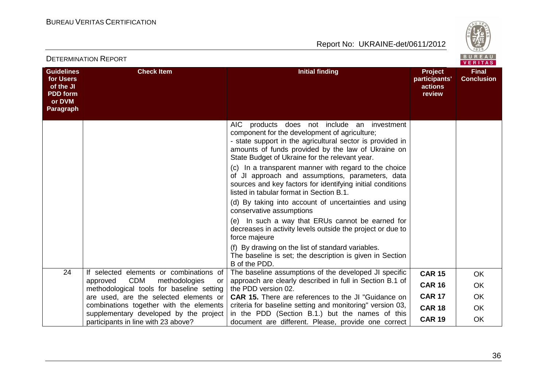



|                                                                                              |                                                                                            |                                                                                                                                                                                                                                                                   |                                                      | VERITAS                           |
|----------------------------------------------------------------------------------------------|--------------------------------------------------------------------------------------------|-------------------------------------------------------------------------------------------------------------------------------------------------------------------------------------------------------------------------------------------------------------------|------------------------------------------------------|-----------------------------------|
| <b>Guidelines</b><br>for Users<br>of the JI<br><b>PDD</b> form<br>or DVM<br><b>Paragraph</b> | <b>Check Item</b>                                                                          | <b>Initial finding</b>                                                                                                                                                                                                                                            | <b>Project</b><br>participants'<br>actions<br>review | <b>Final</b><br><b>Conclusion</b> |
|                                                                                              |                                                                                            | AIC products does not include an investment<br>component for the development of agriculture;<br>- state support in the agricultural sector is provided in<br>amounts of funds provided by the law of Ukraine on<br>State Budget of Ukraine for the relevant year. |                                                      |                                   |
|                                                                                              |                                                                                            | (c) In a transparent manner with regard to the choice<br>of JI approach and assumptions, parameters, data<br>sources and key factors for identifying initial conditions<br>listed in tabular format in Section B.1.                                               |                                                      |                                   |
|                                                                                              |                                                                                            | (d) By taking into account of uncertainties and using<br>conservative assumptions                                                                                                                                                                                 |                                                      |                                   |
|                                                                                              |                                                                                            | (e) In such a way that ERUs cannot be earned for<br>decreases in activity levels outside the project or due to<br>force majeure                                                                                                                                   |                                                      |                                   |
|                                                                                              |                                                                                            | (f) By drawing on the list of standard variables.<br>The baseline is set; the description is given in Section<br>B of the PDD.                                                                                                                                    |                                                      |                                   |
| 24                                                                                           | If selected elements or combinations of                                                    | The baseline assumptions of the developed JI specific                                                                                                                                                                                                             | <b>CAR 15</b>                                        | <b>OK</b>                         |
|                                                                                              | <b>CDM</b><br>methodologies<br>approved<br>or<br>methodological tools for baseline setting | approach are clearly described in full in Section B.1 of<br>the PDD version 02.                                                                                                                                                                                   | <b>CAR 16</b>                                        | <b>OK</b>                         |
|                                                                                              | are used, are the selected elements or                                                     | <b>CAR 15.</b> There are references to the JI "Guidance on                                                                                                                                                                                                        | <b>CAR 17</b>                                        | <b>OK</b>                         |
|                                                                                              | combinations together with the elements<br>supplementary developed by the project          | criteria for baseline setting and monitoring" version 03,<br>in the PDD (Section B.1.) but the names of this                                                                                                                                                      | <b>CAR 18</b>                                        | <b>OK</b>                         |
|                                                                                              | participants in line with 23 above?                                                        | document are different. Please, provide one correct                                                                                                                                                                                                               | <b>CAR 19</b>                                        | <b>OK</b>                         |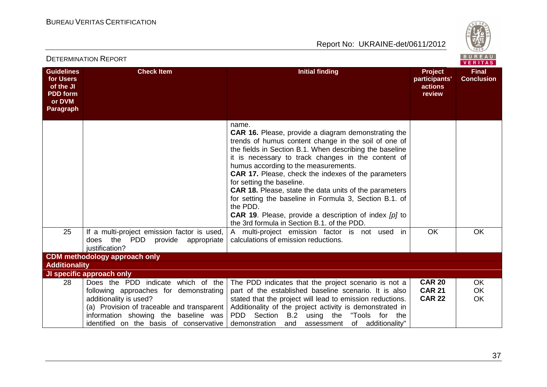

|                                                                                       | <b>DETERMINATION REPORT</b>                                                                                                                                                                                                             |                                                                                                                                                                                                                                                                                                                                                                                                                                                                                                                                                                                                                                | BUREAU<br><b>VERITAS</b>                             |                                   |
|---------------------------------------------------------------------------------------|-----------------------------------------------------------------------------------------------------------------------------------------------------------------------------------------------------------------------------------------|--------------------------------------------------------------------------------------------------------------------------------------------------------------------------------------------------------------------------------------------------------------------------------------------------------------------------------------------------------------------------------------------------------------------------------------------------------------------------------------------------------------------------------------------------------------------------------------------------------------------------------|------------------------------------------------------|-----------------------------------|
| <b>Guidelines</b><br>for Users<br>of the JI<br><b>PDD</b> form<br>or DVM<br>Paragraph | <b>Check Item</b>                                                                                                                                                                                                                       | <b>Initial finding</b>                                                                                                                                                                                                                                                                                                                                                                                                                                                                                                                                                                                                         | <b>Project</b><br>participants'<br>actions<br>review | <b>Final</b><br><b>Conclusion</b> |
|                                                                                       |                                                                                                                                                                                                                                         | name.<br><b>CAR 16.</b> Please, provide a diagram demonstrating the<br>trends of humus content change in the soil of one of<br>the fields in Section B.1. When describing the baseline<br>it is necessary to track changes in the content of<br>humus according to the measurements.<br><b>CAR 17.</b> Please, check the indexes of the parameters<br>for setting the baseline.<br>CAR 18. Please, state the data units of the parameters<br>for setting the baseline in Formula 3, Section B.1. of<br>the PDD.<br><b>CAR 19.</b> Please, provide a description of index [p] to<br>the 3rd formula in Section B.1. of the PDD. |                                                      |                                   |
| 25                                                                                    | If a multi-project emission factor is used,<br>does the PDD provide appropriate<br>justification?                                                                                                                                       | A multi-project emission factor is not used in<br>calculations of emission reductions.                                                                                                                                                                                                                                                                                                                                                                                                                                                                                                                                         | <b>OK</b>                                            | <b>OK</b>                         |
|                                                                                       | <b>CDM</b> methodology approach only                                                                                                                                                                                                    |                                                                                                                                                                                                                                                                                                                                                                                                                                                                                                                                                                                                                                |                                                      |                                   |
| <b>Additionality</b>                                                                  |                                                                                                                                                                                                                                         |                                                                                                                                                                                                                                                                                                                                                                                                                                                                                                                                                                                                                                |                                                      |                                   |
|                                                                                       | JI specific approach only                                                                                                                                                                                                               |                                                                                                                                                                                                                                                                                                                                                                                                                                                                                                                                                                                                                                |                                                      |                                   |
| 28                                                                                    | Does the PDD indicate which of the<br>following approaches for demonstrating<br>additionality is used?<br>(a) Provision of traceable and transparent<br>information showing the baseline was<br>identified on the basis of conservative | The PDD indicates that the project scenario is not a<br>part of the established baseline scenario. It is also<br>stated that the project will lead to emission reductions.<br>Additionality of the project activity is demonstrated in<br>PDD Section B.2 using the "Tools for the<br>of additionality"<br>demonstration and assessment                                                                                                                                                                                                                                                                                        | <b>CAR 20</b><br><b>CAR 21</b><br><b>CAR 22</b>      | <b>OK</b><br><b>OK</b><br>OK      |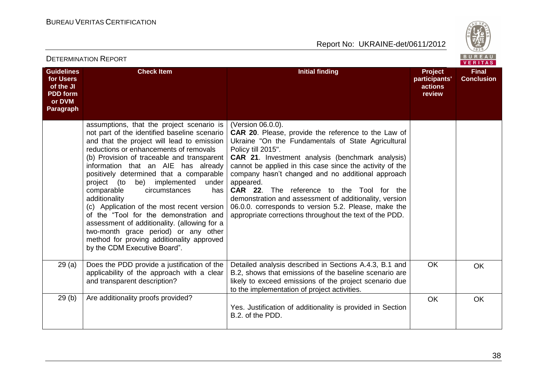

| <b>DETERMINATION REPORT</b>                                                           |                                                                                                                                                                                                                                                                                                                                                                                                                                                                                                                                                                                                                                                                                  |                                                                                                                                                                                                                                                                                                                                                                                                                                                                                                                                                                                | BUREAU<br>VERITAS                                    |                                   |
|---------------------------------------------------------------------------------------|----------------------------------------------------------------------------------------------------------------------------------------------------------------------------------------------------------------------------------------------------------------------------------------------------------------------------------------------------------------------------------------------------------------------------------------------------------------------------------------------------------------------------------------------------------------------------------------------------------------------------------------------------------------------------------|--------------------------------------------------------------------------------------------------------------------------------------------------------------------------------------------------------------------------------------------------------------------------------------------------------------------------------------------------------------------------------------------------------------------------------------------------------------------------------------------------------------------------------------------------------------------------------|------------------------------------------------------|-----------------------------------|
| <b>Guidelines</b><br>for Users<br>of the JI<br><b>PDD</b> form<br>or DVM<br>Paragraph | <b>Check Item</b>                                                                                                                                                                                                                                                                                                                                                                                                                                                                                                                                                                                                                                                                | <b>Initial finding</b>                                                                                                                                                                                                                                                                                                                                                                                                                                                                                                                                                         | <b>Project</b><br>participants'<br>actions<br>review | <b>Final</b><br><b>Conclusion</b> |
|                                                                                       | assumptions, that the project scenario is<br>not part of the identified baseline scenario<br>and that the project will lead to emission<br>reductions or enhancements of removals<br>(b) Provision of traceable and transparent<br>information that an AIE has already<br>positively determined that a comparable<br>be) implemented<br>project (to<br>under<br>comparable<br>circumstances<br>has<br>additionality<br>(c) Application of the most recent version<br>of the "Tool for the demonstration and<br>assessment of additionality. (allowing for a<br>two-month grace period) or any other<br>method for proving additionality approved<br>by the CDM Executive Board". | (Version 06.0.0).<br><b>CAR 20.</b> Please, provide the reference to the Law of<br>Ukraine "On the Fundamentals of State Agricultural<br>Policy till 2015".<br>CAR 21. Investment analysis (benchmark analysis)<br>cannot be applied in this case since the activity of the<br>company hasn't changed and no additional approach<br>appeared.<br><b>CAR 22.</b> The reference to the Tool for the<br>demonstration and assessment of additionality, version<br>06.0.0. corresponds to version 5.2. Please, make the<br>appropriate corrections throughout the text of the PDD. |                                                      |                                   |
| 29(a)                                                                                 | Does the PDD provide a justification of the<br>applicability of the approach with a clear<br>and transparent description?                                                                                                                                                                                                                                                                                                                                                                                                                                                                                                                                                        | Detailed analysis described in Sections A.4.3, B.1 and<br>B.2, shows that emissions of the baseline scenario are<br>likely to exceed emissions of the project scenario due<br>to the implementation of project activities.                                                                                                                                                                                                                                                                                                                                                     | <b>OK</b>                                            | <b>OK</b>                         |
| 29(b)                                                                                 | Are additionality proofs provided?                                                                                                                                                                                                                                                                                                                                                                                                                                                                                                                                                                                                                                               | Yes. Justification of additionality is provided in Section<br>B.2. of the PDD.                                                                                                                                                                                                                                                                                                                                                                                                                                                                                                 | <b>OK</b>                                            | OK                                |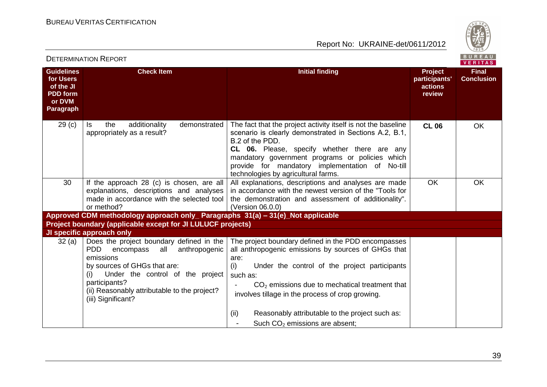



| DETERMINATION NEPORT<br><b>VERITAS</b>                                                |                                                                                                                                                                                                                                                                            |                                                                                                                                                                                                                                                                                                                                         |                                                      |                                   |
|---------------------------------------------------------------------------------------|----------------------------------------------------------------------------------------------------------------------------------------------------------------------------------------------------------------------------------------------------------------------------|-----------------------------------------------------------------------------------------------------------------------------------------------------------------------------------------------------------------------------------------------------------------------------------------------------------------------------------------|------------------------------------------------------|-----------------------------------|
| <b>Guidelines</b><br>for Users<br>of the JI<br><b>PDD</b> form<br>or DVM<br>Paragraph | <b>Check Item</b>                                                                                                                                                                                                                                                          | <b>Initial finding</b>                                                                                                                                                                                                                                                                                                                  | <b>Project</b><br>participants'<br>actions<br>review | <b>Final</b><br><b>Conclusion</b> |
| 29 <sub>(c)</sub>                                                                     | the<br>additionality<br>demonstrated<br>ls.<br>appropriately as a result?                                                                                                                                                                                                  | The fact that the project activity itself is not the baseline<br>scenario is clearly demonstrated in Sections A.2, B.1,<br>B.2 of the PDD.<br>CL 06. Please, specify whether there are any<br>mandatory government programs or policies which<br>provide for mandatory implementation of No-till<br>technologies by agricultural farms. | <b>CL 06</b>                                         | OK                                |
| 30                                                                                    | If the approach 28 (c) is chosen, are all<br>explanations, descriptions and analyses<br>made in accordance with the selected tool<br>or method?                                                                                                                            | All explanations, descriptions and analyses are made<br>in accordance with the newest version of the "Tools for<br>the demonstration and assessment of additionality".<br>(Version 06.0.0)                                                                                                                                              | <b>OK</b>                                            | OK                                |
|                                                                                       | Approved CDM methodology approach only_ Paragraphs 31(a) - 31(e)_Not applicable                                                                                                                                                                                            |                                                                                                                                                                                                                                                                                                                                         |                                                      |                                   |
|                                                                                       | Project boundary (applicable except for JI LULUCF projects)                                                                                                                                                                                                                |                                                                                                                                                                                                                                                                                                                                         |                                                      |                                   |
|                                                                                       | JI specific approach only                                                                                                                                                                                                                                                  |                                                                                                                                                                                                                                                                                                                                         |                                                      |                                   |
| 32(a)                                                                                 | Does the project boundary defined in the<br><b>PDD</b><br>all<br>anthropogenic<br>encompass<br>emissions<br>by sources of GHGs that are:<br>Under the control of the project<br>(i)<br>participants?<br>(ii) Reasonably attributable to the project?<br>(iii) Significant? | The project boundary defined in the PDD encompasses<br>all anthropogenic emissions by sources of GHGs that<br>are:<br>(i)<br>Under the control of the project participants<br>such as:<br>$CO2$ emissions due to mechatical treatment that<br>involves tillage in the process of crop growing.                                          |                                                      |                                   |
|                                                                                       |                                                                                                                                                                                                                                                                            | Reasonably attributable to the project such as:<br>(ii)<br>Such CO <sub>2</sub> emissions are absent;                                                                                                                                                                                                                                   |                                                      |                                   |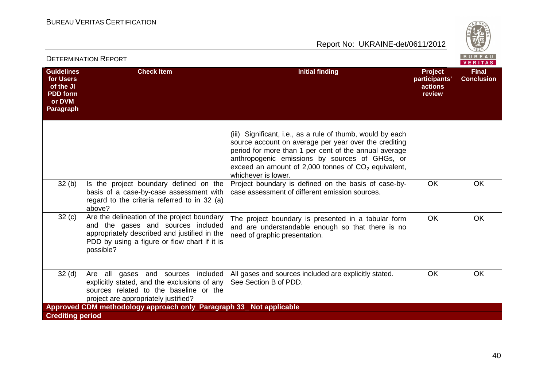

| <b>DETERMINATION REPORT</b>                                                                  |                                                                                                                                                                                                | BUREAU<br>VERITAS                                                                                                                                                                                                                                                                                              |                                               |                                   |
|----------------------------------------------------------------------------------------------|------------------------------------------------------------------------------------------------------------------------------------------------------------------------------------------------|----------------------------------------------------------------------------------------------------------------------------------------------------------------------------------------------------------------------------------------------------------------------------------------------------------------|-----------------------------------------------|-----------------------------------|
| <b>Guidelines</b><br>for Users<br>of the JI<br><b>PDD</b> form<br>or DVM<br><b>Paragraph</b> | <b>Check Item</b>                                                                                                                                                                              | <b>Initial finding</b>                                                                                                                                                                                                                                                                                         | Project<br>participants'<br>actions<br>review | <b>Final</b><br><b>Conclusion</b> |
|                                                                                              |                                                                                                                                                                                                | (iii) Significant, i.e., as a rule of thumb, would by each<br>source account on average per year over the crediting<br>period for more than 1 per cent of the annual average<br>anthropogenic emissions by sources of GHGs, or<br>exceed an amount of 2,000 tonnes of $CO2$ equivalent,<br>whichever is lower. |                                               |                                   |
| 32(b)                                                                                        | Is the project boundary defined on the<br>basis of a case-by-case assessment with<br>regard to the criteria referred to in 32 (a)<br>above?                                                    | Project boundary is defined on the basis of case-by-<br>case assessment of different emission sources.                                                                                                                                                                                                         | OK                                            | <b>OK</b>                         |
| 32(c)                                                                                        | Are the delineation of the project boundary<br>and the gases and sources included<br>appropriately described and justified in the<br>PDD by using a figure or flow chart if it is<br>possible? | The project boundary is presented in a tabular form<br>and are understandable enough so that there is no<br>need of graphic presentation.                                                                                                                                                                      | <b>OK</b>                                     | <b>OK</b>                         |
| 32 <sub>(d)</sub>                                                                            | Are all gases and sources included<br>explicitly stated, and the exclusions of any<br>sources related to the baseline or the<br>project are appropriately justified?                           | All gases and sources included are explicitly stated.<br>See Section B of PDD.                                                                                                                                                                                                                                 | <b>OK</b>                                     | <b>OK</b>                         |
|                                                                                              | Approved CDM methodology approach only Paragraph 33 Not applicable                                                                                                                             |                                                                                                                                                                                                                                                                                                                |                                               |                                   |
| <b>Crediting period</b>                                                                      |                                                                                                                                                                                                |                                                                                                                                                                                                                                                                                                                |                                               |                                   |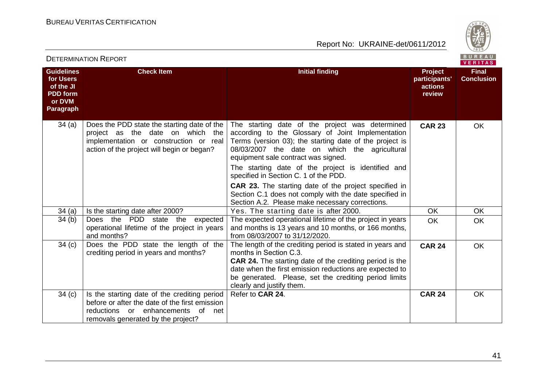

|                                                                                              |                                                                                                                                                                                 |                                                                                                                                                                                                                                                                                                               |                                                      | VERIIAS                           |
|----------------------------------------------------------------------------------------------|---------------------------------------------------------------------------------------------------------------------------------------------------------------------------------|---------------------------------------------------------------------------------------------------------------------------------------------------------------------------------------------------------------------------------------------------------------------------------------------------------------|------------------------------------------------------|-----------------------------------|
| <b>Guidelines</b><br>for Users<br>of the JI<br><b>PDD</b> form<br>or DVM<br><b>Paragraph</b> | <b>Check Item</b>                                                                                                                                                               | <b>Initial finding</b>                                                                                                                                                                                                                                                                                        | <b>Project</b><br>participants'<br>actions<br>review | <b>Final</b><br><b>Conclusion</b> |
| 34(a)                                                                                        | Does the PDD state the starting date of the<br>project as the date on which the<br>implementation or construction or real<br>action of the project will begin or began?         | The starting date of the project was determined<br>according to the Glossary of Joint Implementation<br>Terms (version 03); the starting date of the project is<br>08/03/2007 the date on which the agricultural<br>equipment sale contract was signed.<br>The starting date of the project is identified and | <b>CAR 23</b>                                        | OK                                |
|                                                                                              |                                                                                                                                                                                 | specified in Section C. 1 of the PDD.<br><b>CAR 23.</b> The starting date of the project specified in<br>Section C.1 does not comply with the date specified in<br>Section A.2. Please make necessary corrections.                                                                                            |                                                      |                                   |
| 34(a)                                                                                        | Is the starting date after 2000?                                                                                                                                                | Yes. The starting date is after 2000.                                                                                                                                                                                                                                                                         | <b>OK</b>                                            | OK                                |
| 34(b)                                                                                        | Does the PDD state the<br>expected<br>operational lifetime of the project in years<br>and months?                                                                               | The expected operational lifetime of the project in years<br>and months is 13 years and 10 months, or 166 months,<br>from 08/03/2007 to 31/12/2020.                                                                                                                                                           | <b>OK</b>                                            | <b>OK</b>                         |
| 34 <sub>(c)</sub>                                                                            | Does the PDD state the length of the<br>crediting period in years and months?                                                                                                   | The length of the crediting period is stated in years and<br>months in Section C.3.<br><b>CAR 24.</b> The starting date of the crediting period is the<br>date when the first emission reductions are expected to<br>be generated. Please, set the crediting period limits<br>clearly and justify them.       | <b>CAR 24</b>                                        | OK                                |
| 34(c)                                                                                        | Is the starting date of the crediting period<br>before or after the date of the first emission<br>reductions or enhancements<br>of<br>net<br>removals generated by the project? | Refer to CAR 24.                                                                                                                                                                                                                                                                                              | <b>CAR 24</b>                                        | <b>OK</b>                         |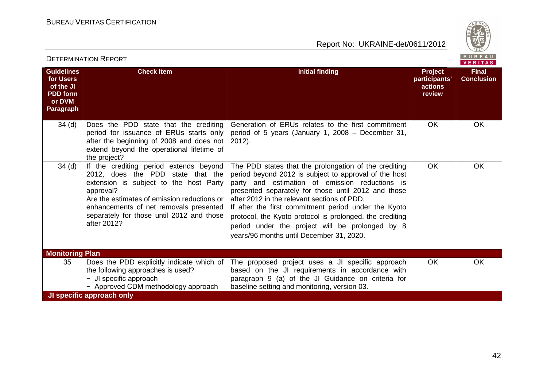

| PETERMINATIVN INEPURT                                                                 |                                                                                                                                                                                                                                                                                         |                                                                                                                                                                                                                                                                                                                                                                                                                                                                                           | VERITAS                                                     |                                   |
|---------------------------------------------------------------------------------------|-----------------------------------------------------------------------------------------------------------------------------------------------------------------------------------------------------------------------------------------------------------------------------------------|-------------------------------------------------------------------------------------------------------------------------------------------------------------------------------------------------------------------------------------------------------------------------------------------------------------------------------------------------------------------------------------------------------------------------------------------------------------------------------------------|-------------------------------------------------------------|-----------------------------------|
| <b>Guidelines</b><br>for Users<br>of the JI<br><b>PDD</b> form<br>or DVM<br>Paragraph | <b>Check Item</b>                                                                                                                                                                                                                                                                       | <b>Initial finding</b>                                                                                                                                                                                                                                                                                                                                                                                                                                                                    | <b>Project</b><br>participants'<br><b>actions</b><br>review | <b>Final</b><br><b>Conclusion</b> |
| 34 <sub>(d)</sub>                                                                     | Does the PDD state that the crediting<br>period for issuance of ERUs starts only<br>after the beginning of 2008 and does not<br>extend beyond the operational lifetime of<br>the project?                                                                                               | Generation of ERUs relates to the first commitment<br>period of 5 years (January 1, 2008 – December 31,<br>$2012$ ).                                                                                                                                                                                                                                                                                                                                                                      | OK                                                          | <b>OK</b>                         |
| 34(d)                                                                                 | If the crediting period extends beyond<br>2012, does the PDD state that the<br>extension is subject to the host Party<br>approval?<br>Are the estimates of emission reductions or<br>enhancements of net removals presented<br>separately for those until 2012 and those<br>after 2012? | The PDD states that the prolongation of the crediting<br>period beyond 2012 is subject to approval of the host<br>party and estimation of emission reductions is<br>presented separately for those until 2012 and those<br>after 2012 in the relevant sections of PDD.<br>If after the first commitment period under the Kyoto<br>protocol, the Kyoto protocol is prolonged, the crediting<br>period under the project will be prolonged by 8<br>years/96 months until December 31, 2020. | <b>OK</b>                                                   | <b>OK</b>                         |
| <b>Monitoring Plan</b>                                                                |                                                                                                                                                                                                                                                                                         |                                                                                                                                                                                                                                                                                                                                                                                                                                                                                           |                                                             |                                   |
| 35                                                                                    | Does the PDD explicitly indicate which of<br>the following approaches is used?<br>$-$ JI specific approach<br>- Approved CDM methodology approach                                                                                                                                       | The proposed project uses a JI specific approach<br>based on the JI requirements in accordance with<br>paragraph 9 (a) of the JI Guidance on criteria for<br>baseline setting and monitoring, version 03.                                                                                                                                                                                                                                                                                 | <b>OK</b>                                                   | <b>OK</b>                         |
|                                                                                       | JI specific approach only                                                                                                                                                                                                                                                               |                                                                                                                                                                                                                                                                                                                                                                                                                                                                                           |                                                             |                                   |

#### DETERMINATION REPORT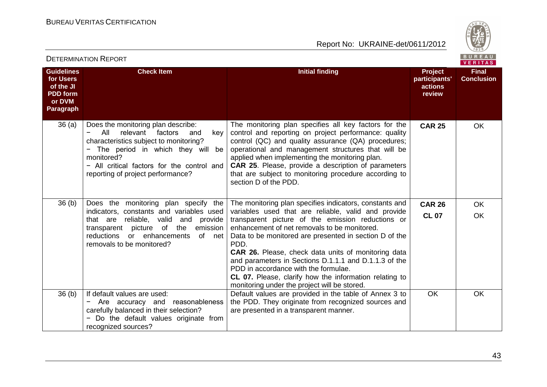

|                                                                                              |                                                                                                                                                                                                                                                            |                                                                                                                                                                                                                                                                                                                                                                                                                                                                                                            |                                                      | $V$ Entimo                        |
|----------------------------------------------------------------------------------------------|------------------------------------------------------------------------------------------------------------------------------------------------------------------------------------------------------------------------------------------------------------|------------------------------------------------------------------------------------------------------------------------------------------------------------------------------------------------------------------------------------------------------------------------------------------------------------------------------------------------------------------------------------------------------------------------------------------------------------------------------------------------------------|------------------------------------------------------|-----------------------------------|
| <b>Guidelines</b><br>for Users<br>of the JI<br><b>PDD</b> form<br>or DVM<br><b>Paragraph</b> | <b>Check Item</b>                                                                                                                                                                                                                                          | <b>Initial finding</b>                                                                                                                                                                                                                                                                                                                                                                                                                                                                                     | <b>Project</b><br>participants'<br>actions<br>review | <b>Final</b><br><b>Conclusion</b> |
| 36(a)                                                                                        | Does the monitoring plan describe:<br>All<br>relevant factors<br>and<br>key<br>characteristics subject to monitoring?<br>The period in which they will be<br>monitored?<br>- All critical factors for the control and<br>reporting of project performance? | The monitoring plan specifies all key factors for the<br>control and reporting on project performance: quality<br>control (QC) and quality assurance (QA) procedures;<br>operational and management structures that will be<br>applied when implementing the monitoring plan.<br><b>CAR 25.</b> Please, provide a description of parameters<br>that are subject to monitoring procedure according to<br>section D of the PDD.                                                                              | <b>CAR 25</b>                                        | <b>OK</b>                         |
| 36 <sub>(b)</sub>                                                                            | Does the monitoring plan specify the                                                                                                                                                                                                                       | The monitoring plan specifies indicators, constants and                                                                                                                                                                                                                                                                                                                                                                                                                                                    | <b>CAR 26</b>                                        | <b>OK</b>                         |
|                                                                                              | indicators, constants and variables used<br>that are reliable, valid<br>and<br>provide<br>of the<br>emission<br>transparent picture<br>reductions<br>or enhancements<br>of<br>net<br>removals to be monitored?                                             | variables used that are reliable, valid and provide<br>transparent picture of the emission reductions or<br>enhancement of net removals to be monitored.<br>Data to be monitored are presented in section D of the<br>PDD.<br><b>CAR 26.</b> Please, check data units of monitoring data<br>and parameters in Sections D.1.1.1 and D.1.1.3 of the<br>PDD in accordance with the formulae.<br><b>CL 07.</b> Please, clarify how the information relating to<br>monitoring under the project will be stored. | <b>CL 07</b>                                         | <b>OK</b>                         |
| 36 <sub>(b)</sub>                                                                            | If default values are used:<br>- Are accuracy and reasonableness<br>carefully balanced in their selection?<br>Do the default values originate from<br>recognized sources?                                                                                  | Default values are provided in the table of Annex 3 to<br>the PDD. They originate from recognized sources and<br>are presented in a transparent manner.                                                                                                                                                                                                                                                                                                                                                    | <b>OK</b>                                            | <b>OK</b>                         |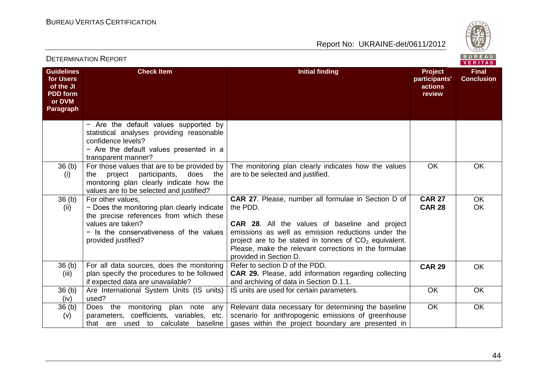

|                                                                                              | <b>DETERMINATION REPORT</b>                                                                                                                                                                        |                                                                                                                                                                                                                                                                                                                                     | B U R E A U  <br><b>VERITAS</b>                      |                                   |
|----------------------------------------------------------------------------------------------|----------------------------------------------------------------------------------------------------------------------------------------------------------------------------------------------------|-------------------------------------------------------------------------------------------------------------------------------------------------------------------------------------------------------------------------------------------------------------------------------------------------------------------------------------|------------------------------------------------------|-----------------------------------|
| <b>Guidelines</b><br>for Users<br>of the JI<br><b>PDD</b> form<br>or DVM<br><b>Paragraph</b> | <b>Check Item</b>                                                                                                                                                                                  | <b>Initial finding</b>                                                                                                                                                                                                                                                                                                              | <b>Project</b><br>participants'<br>actions<br>review | <b>Final</b><br><b>Conclusion</b> |
|                                                                                              | - Are the default values supported by<br>statistical analyses providing reasonable<br>confidence levels?<br>- Are the default values presented in a<br>transparent manner?                         |                                                                                                                                                                                                                                                                                                                                     |                                                      |                                   |
| 36(b)<br>(i)                                                                                 | For those values that are to be provided by<br>project<br>participants,<br>does the<br>the<br>monitoring plan clearly indicate how the<br>values are to be selected and justified?                 | The monitoring plan clearly indicates how the values<br>are to be selected and justified.                                                                                                                                                                                                                                           | OK                                                   | <b>OK</b>                         |
| 36(b)<br>(ii)                                                                                | For other values,<br>- Does the monitoring plan clearly indicate<br>the precise references from which these<br>values are taken?<br>- Is the conservativeness of the values<br>provided justified? | <b>CAR 27.</b> Please, number all formulae in Section D of<br>the PDD.<br><b>CAR 28.</b> All the values of baseline and project<br>emissions as well as emission reductions under the<br>project are to be stated in tonnes of $CO2$ equivalent.<br>Please, make the relevant corrections in the formulae<br>provided in Section D. | <b>CAR 27</b><br><b>CAR 28</b>                       | <b>OK</b><br><b>OK</b>            |
| 36(b)<br>(iii)                                                                               | For all data sources, does the monitoring<br>plan specify the procedures to be followed<br>if expected data are unavailable?                                                                       | Refer to section D of the PDD.<br><b>CAR 29.</b> Please, add information regarding collecting<br>and archiving of data in Section D.1.1.                                                                                                                                                                                            | <b>CAR 29</b>                                        | <b>OK</b>                         |
| 36 <sub>(b)</sub><br>(iv)                                                                    | Are International System Units (IS units)<br>used?                                                                                                                                                 | IS units are used for certain parameters.                                                                                                                                                                                                                                                                                           | <b>OK</b>                                            | <b>OK</b>                         |
| 36 <sub>(b)</sub><br>(v)                                                                     | Does the<br>monitoring plan note<br>any<br>parameters, coefficients, variables, etc.<br>that are used to calculate<br>baseline                                                                     | Relevant data necessary for determining the baseline<br>scenario for anthropogenic emissions of greenhouse<br>gases within the project boundary are presented in                                                                                                                                                                    | <b>OK</b>                                            | OK                                |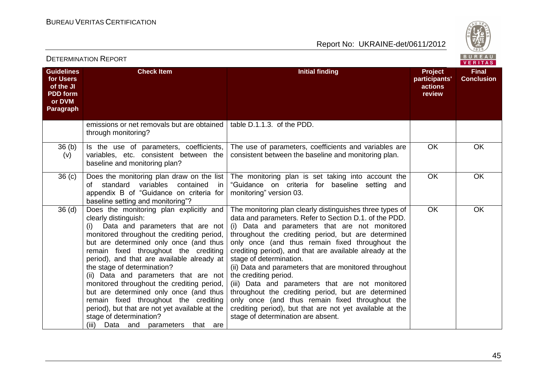

| <b>DETERMINATION REPORT</b>                                                                  |                                                                                                                                                                                                                                                                                                                                                                                                                                                                                                                                                                                                                          |                                                                                                                                                                                                                                                                                                                                                                                                                                                                                                                                                                                                                                                                                                                          | BUREAU<br><b>VERITAS</b>                             |                                   |
|----------------------------------------------------------------------------------------------|--------------------------------------------------------------------------------------------------------------------------------------------------------------------------------------------------------------------------------------------------------------------------------------------------------------------------------------------------------------------------------------------------------------------------------------------------------------------------------------------------------------------------------------------------------------------------------------------------------------------------|--------------------------------------------------------------------------------------------------------------------------------------------------------------------------------------------------------------------------------------------------------------------------------------------------------------------------------------------------------------------------------------------------------------------------------------------------------------------------------------------------------------------------------------------------------------------------------------------------------------------------------------------------------------------------------------------------------------------------|------------------------------------------------------|-----------------------------------|
| <b>Guidelines</b><br>for Users<br>of the JI<br><b>PDD</b> form<br>or DVM<br><b>Paragraph</b> | <b>Check Item</b>                                                                                                                                                                                                                                                                                                                                                                                                                                                                                                                                                                                                        | <b>Initial finding</b>                                                                                                                                                                                                                                                                                                                                                                                                                                                                                                                                                                                                                                                                                                   | <b>Project</b><br>participants'<br>actions<br>review | <b>Final</b><br><b>Conclusion</b> |
|                                                                                              | emissions or net removals but are obtained<br>through monitoring?                                                                                                                                                                                                                                                                                                                                                                                                                                                                                                                                                        | table D.1.1.3. of the PDD.                                                                                                                                                                                                                                                                                                                                                                                                                                                                                                                                                                                                                                                                                               |                                                      |                                   |
| 36(b)<br>(v)                                                                                 | Is the use of parameters, coefficients,<br>variables, etc. consistent between the<br>baseline and monitoring plan?                                                                                                                                                                                                                                                                                                                                                                                                                                                                                                       | The use of parameters, coefficients and variables are<br>consistent between the baseline and monitoring plan.                                                                                                                                                                                                                                                                                                                                                                                                                                                                                                                                                                                                            | <b>OK</b>                                            | OK                                |
| 36 <sub>(c)</sub>                                                                            | Does the monitoring plan draw on the list<br>of standard variables<br>contained<br>in<br>appendix B of "Guidance on criteria for<br>baseline setting and monitoring"?                                                                                                                                                                                                                                                                                                                                                                                                                                                    | The monitoring plan is set taking into account the<br>"Guidance on criteria for baseline setting<br>and<br>monitoring" version 03.                                                                                                                                                                                                                                                                                                                                                                                                                                                                                                                                                                                       | OK                                                   | OK                                |
| 36 <sub>(d)</sub>                                                                            | Does the monitoring plan explicitly and<br>clearly distinguish:<br>Data and parameters that are not<br>(i)<br>monitored throughout the crediting period,<br>but are determined only once (and thus<br>remain fixed throughout the crediting<br>period), and that are available already at<br>the stage of determination?<br>(ii) Data and parameters that are not<br>monitored throughout the crediting period,<br>but are determined only once (and thus<br>remain fixed throughout the crediting<br>period), but that are not yet available at the<br>stage of determination?<br>(iii)<br>Data and parameters that are | The monitoring plan clearly distinguishes three types of<br>data and parameters. Refer to Section D.1. of the PDD.<br>(i) Data and parameters that are not monitored<br>throughout the crediting period, but are determined<br>only once (and thus remain fixed throughout the<br>crediting period), and that are available already at the<br>stage of determination.<br>(ii) Data and parameters that are monitored throughout<br>the crediting period.<br>(iii) Data and parameters that are not monitored<br>throughout the crediting period, but are determined<br>only once (and thus remain fixed throughout the<br>crediting period), but that are not yet available at the<br>stage of determination are absent. | <b>OK</b>                                            | <b>OK</b>                         |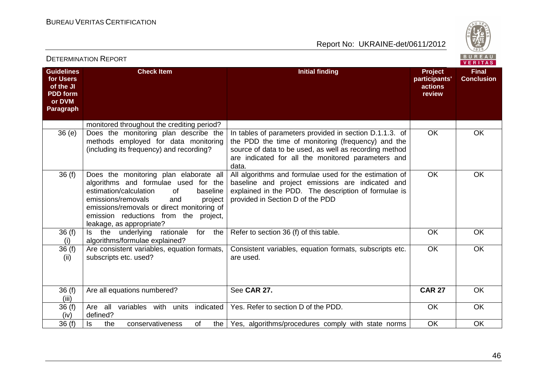

|                                                                                              | DE I ENMINATION INEFONT                                                                                                                                                                                                                                                                         |                                                                                                                                                                                                                                        |                                                      | <b>VERITAS</b>                    |
|----------------------------------------------------------------------------------------------|-------------------------------------------------------------------------------------------------------------------------------------------------------------------------------------------------------------------------------------------------------------------------------------------------|----------------------------------------------------------------------------------------------------------------------------------------------------------------------------------------------------------------------------------------|------------------------------------------------------|-----------------------------------|
| <b>Guidelines</b><br>for Users<br>of the JI<br><b>PDD</b> form<br>or DVM<br><b>Paragraph</b> | <b>Check Item</b>                                                                                                                                                                                                                                                                               | <b>Initial finding</b>                                                                                                                                                                                                                 | <b>Project</b><br>participants'<br>actions<br>review | <b>Final</b><br><b>Conclusion</b> |
|                                                                                              | monitored throughout the crediting period?                                                                                                                                                                                                                                                      |                                                                                                                                                                                                                                        |                                                      |                                   |
| 36(e)                                                                                        | Does the monitoring plan describe the<br>methods employed for data monitoring<br>(including its frequency) and recording?                                                                                                                                                                       | In tables of parameters provided in section D.1.1.3. of<br>the PDD the time of monitoring (frequency) and the<br>source of data to be used, as well as recording method<br>are indicated for all the monitored parameters and<br>data. | <b>OK</b>                                            | OK                                |
| 36(f)                                                                                        | Does the monitoring plan elaborate all<br>algorithms and formulae used for the<br>estimation/calculation<br><b>of</b><br>baseline<br>emissions/removals<br>project<br>and<br>emissions/removals or direct monitoring of<br>emission reductions from the<br>project,<br>leakage, as appropriate? | All algorithms and formulae used for the estimation of<br>baseline and project emissions are indicated and<br>explained in the PDD. The description of formulae is<br>provided in Section D of the PDD                                 | <b>OK</b>                                            | <b>OK</b>                         |
| 36(f)<br>(i)                                                                                 | the<br>underlying<br>for<br>the<br>rationale<br>ls -<br>algorithms/formulae explained?                                                                                                                                                                                                          | Refer to section 36 (f) of this table.                                                                                                                                                                                                 | <b>OK</b>                                            | OK                                |
| 36(f)<br>(ii)                                                                                | Are consistent variables, equation formats,<br>subscripts etc. used?                                                                                                                                                                                                                            | Consistent variables, equation formats, subscripts etc.<br>are used.                                                                                                                                                                   | <b>OK</b>                                            | <b>OK</b>                         |
| 36(f)<br>(iii)                                                                               | Are all equations numbered?                                                                                                                                                                                                                                                                     | See CAR 27.                                                                                                                                                                                                                            | <b>CAR 27</b>                                        | OK                                |
| 36(f)<br>(iv)                                                                                | Are all variables with units<br>indicated<br>defined?                                                                                                                                                                                                                                           | Yes. Refer to section D of the PDD.                                                                                                                                                                                                    | <b>OK</b>                                            | $\overline{OK}$                   |
| 36(f)                                                                                        | ls<br>0f<br>the<br>conservativeness<br>the                                                                                                                                                                                                                                                      | Yes, algorithms/procedures comply with state norms                                                                                                                                                                                     | <b>OK</b>                                            | OK                                |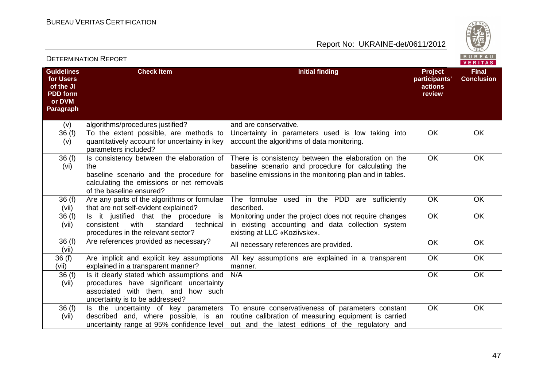

| DETERMINATION INEFORT<br>VERITAS                                                      |                                                                                                                                                                      |                                                                                                                                                                                                                                                  |                                                      |                                   |
|---------------------------------------------------------------------------------------|----------------------------------------------------------------------------------------------------------------------------------------------------------------------|--------------------------------------------------------------------------------------------------------------------------------------------------------------------------------------------------------------------------------------------------|------------------------------------------------------|-----------------------------------|
| <b>Guidelines</b><br>for Users<br>of the JI<br><b>PDD</b> form<br>or DVM<br>Paragraph | <b>Check Item</b>                                                                                                                                                    | <b>Initial finding</b>                                                                                                                                                                                                                           | <b>Project</b><br>participants'<br>actions<br>review | <b>Final</b><br><b>Conclusion</b> |
| (v)                                                                                   | algorithms/procedures justified?                                                                                                                                     | and are conservative.                                                                                                                                                                                                                            |                                                      |                                   |
| 36(f)<br>(v)                                                                          | To the extent possible, are methods to<br>quantitatively account for uncertainty in key<br>parameters included?                                                      | Uncertainty in parameters used is low taking into<br>account the algorithms of data monitoring.                                                                                                                                                  | <b>OK</b>                                            | <b>OK</b>                         |
| 36(f)<br>(vi)                                                                         | Is consistency between the elaboration of<br>the<br>baseline scenario and the procedure for<br>calculating the emissions or net removals<br>of the baseline ensured? | There is consistency between the elaboration on the<br>baseline scenario and procedure for calculating the<br>baseline emissions in the monitoring plan and in tables.                                                                           | <b>OK</b>                                            | <b>OK</b>                         |
| 36(f)<br>(vii)                                                                        | Are any parts of the algorithms or formulae<br>that are not self-evident explained?                                                                                  | The formulae used in the PDD are sufficiently<br>described.                                                                                                                                                                                      | <b>OK</b>                                            | <b>OK</b>                         |
| 36(f)<br>(vii)                                                                        | Is it justified that the procedure is<br>with<br>standard<br>technical<br>consistent<br>procedures in the relevant sector?                                           | Monitoring under the project does not require changes<br>in existing accounting and data collection system<br>existing at LLC «Koziivske».                                                                                                       | <b>OK</b>                                            | <b>OK</b>                         |
| 36(f)<br>(vii)                                                                        | Are references provided as necessary?                                                                                                                                | All necessary references are provided.                                                                                                                                                                                                           | OK                                                   | <b>OK</b>                         |
| 36 (f)<br>(vii)                                                                       | Are implicit and explicit key assumptions<br>explained in a transparent manner?                                                                                      | All key assumptions are explained in a transparent<br>manner.                                                                                                                                                                                    | <b>OK</b>                                            | <b>OK</b>                         |
| 36(f)<br>(vii)                                                                        | Is it clearly stated which assumptions and<br>procedures have significant uncertainty<br>associated with them, and<br>how such<br>uncertainty is to be addressed?    | N/A                                                                                                                                                                                                                                              | <b>OK</b>                                            | <b>OK</b>                         |
| 36(f)<br>(vii)                                                                        | described and, where possible, is an                                                                                                                                 | Is the uncertainty of key parameters   To ensure conservativeness of parameters constant<br>routine calibration of measuring equipment is carried<br>uncertainty range at 95% confidence level out and the latest editions of the regulatory and | <b>OK</b>                                            | <b>OK</b>                         |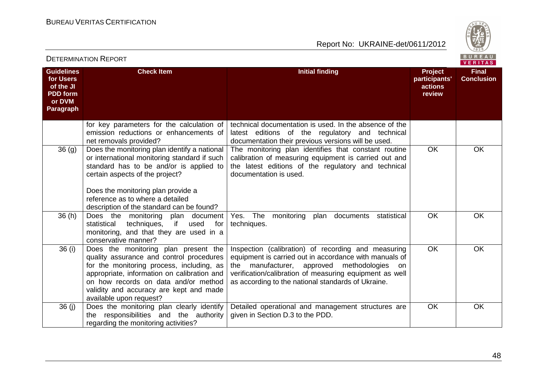

| <b>DETERMINATION REPORT</b>                                                                  |                                                                                                                                                                                                                                                                                            | BUREAU<br>VERITAS                                                                                                                                                                                                                                                                |                                               |                                   |
|----------------------------------------------------------------------------------------------|--------------------------------------------------------------------------------------------------------------------------------------------------------------------------------------------------------------------------------------------------------------------------------------------|----------------------------------------------------------------------------------------------------------------------------------------------------------------------------------------------------------------------------------------------------------------------------------|-----------------------------------------------|-----------------------------------|
| <b>Guidelines</b><br>for Users<br>of the JI<br><b>PDD</b> form<br>or DVM<br><b>Paragraph</b> | <b>Check Item</b>                                                                                                                                                                                                                                                                          | <b>Initial finding</b>                                                                                                                                                                                                                                                           | Project<br>participants'<br>actions<br>review | <b>Final</b><br><b>Conclusion</b> |
|                                                                                              | for key parameters for the calculation of<br>emission reductions or enhancements of<br>net removals provided?                                                                                                                                                                              | technical documentation is used. In the absence of the<br>latest editions of the regulatory and technical<br>documentation their previous versions will be used.                                                                                                                 |                                               |                                   |
| 36 <sub>(g)</sub>                                                                            | Does the monitoring plan identify a national<br>or international monitoring standard if such<br>standard has to be and/or is applied to<br>certain aspects of the project?                                                                                                                 | The monitoring plan identifies that constant routine<br>calibration of measuring equipment is carried out and<br>the latest editions of the regulatory and technical<br>documentation is used.                                                                                   | <b>OK</b>                                     | OK                                |
|                                                                                              | Does the monitoring plan provide a<br>reference as to where a detailed<br>description of the standard can be found?                                                                                                                                                                        |                                                                                                                                                                                                                                                                                  |                                               |                                   |
| 36(h)                                                                                        | Does the monitoring plan document<br>statistical<br>techniques,<br>if<br>used<br>for<br>monitoring, and that they are used in a<br>conservative manner?                                                                                                                                    | Yes. The monitoring<br>documents<br>statistical<br>plan<br>techniques.                                                                                                                                                                                                           | OK                                            | OK                                |
| 36(i)                                                                                        | Does the monitoring plan present the<br>quality assurance and control procedures<br>for the monitoring process, including, as<br>appropriate, information on calibration and<br>on how records on data and/or method<br>validity and accuracy are kept and made<br>available upon request? | Inspection (calibration) of recording and measuring<br>equipment is carried out in accordance with manuals of<br>the manufacturer, approved methodologies<br>on<br>verification/calibration of measuring equipment as well<br>as according to the national standards of Ukraine. | OK                                            | <b>OK</b>                         |
| 36(j)                                                                                        | Does the monitoring plan clearly identify<br>responsibilities and the authority<br>the<br>regarding the monitoring activities?                                                                                                                                                             | Detailed operational and management structures are<br>given in Section D.3 to the PDD.                                                                                                                                                                                           | OK                                            | <b>OK</b>                         |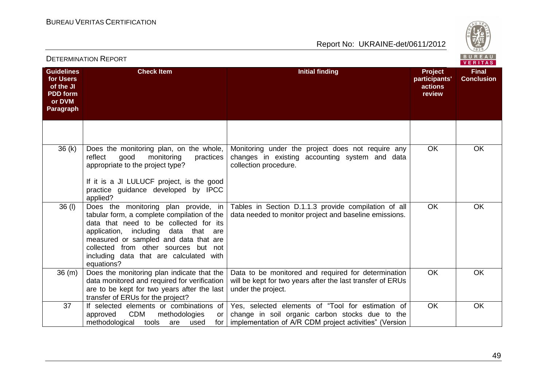

|                                                                                       | <b>DETERMINATION REPORT</b>                                                                                                                                                                                                                                                                                     |                                                                                                                                                                |                                                      | B U R E A U<br>VERITAS            |
|---------------------------------------------------------------------------------------|-----------------------------------------------------------------------------------------------------------------------------------------------------------------------------------------------------------------------------------------------------------------------------------------------------------------|----------------------------------------------------------------------------------------------------------------------------------------------------------------|------------------------------------------------------|-----------------------------------|
| <b>Guidelines</b><br>for Users<br>of the JI<br><b>PDD</b> form<br>or DVM<br>Paragraph | <b>Check Item</b>                                                                                                                                                                                                                                                                                               | <b>Initial finding</b>                                                                                                                                         | <b>Project</b><br>participants'<br>actions<br>review | <b>Final</b><br><b>Conclusion</b> |
|                                                                                       |                                                                                                                                                                                                                                                                                                                 |                                                                                                                                                                |                                                      |                                   |
| 36(k)                                                                                 | Does the monitoring plan, on the whole,<br>monitoring<br>reflect<br>good<br>practices<br>appropriate to the project type?<br>If it is a JI LULUCF project, is the good<br>practice guidance developed by IPCC<br>applied?                                                                                       | Monitoring under the project does not require any<br>changes in existing accounting system and data<br>collection procedure.                                   | <b>OK</b>                                            | <b>OK</b>                         |
| $36$ (I)                                                                              | Does the monitoring plan provide, in<br>tabular form, a complete compilation of the<br>data that need to be collected for its<br>application, including data that are<br>measured or sampled and data that are<br>collected from other sources but not<br>including data that are calculated with<br>equations? | Tables in Section D.1.1.3 provide compilation of all<br>data needed to monitor project and baseline emissions.                                                 | <b>OK</b>                                            | <b>OK</b>                         |
| 36 (m)                                                                                | Does the monitoring plan indicate that the<br>data monitored and required for verification<br>are to be kept for two years after the last<br>transfer of ERUs for the project?                                                                                                                                  | Data to be monitored and required for determination<br>will be kept for two years after the last transfer of ERUs<br>under the project.                        | <b>OK</b>                                            | <b>OK</b>                         |
| 37                                                                                    | If selected elements or combinations of<br><b>CDM</b><br>approved<br>methodologies<br>or<br>methodological<br>tools<br>are<br>used<br>for                                                                                                                                                                       | Yes, selected elements of "Tool for estimation of<br>change in soil organic carbon stocks due to the<br>implementation of A/R CDM project activities" (Version | <b>OK</b>                                            | <b>OK</b>                         |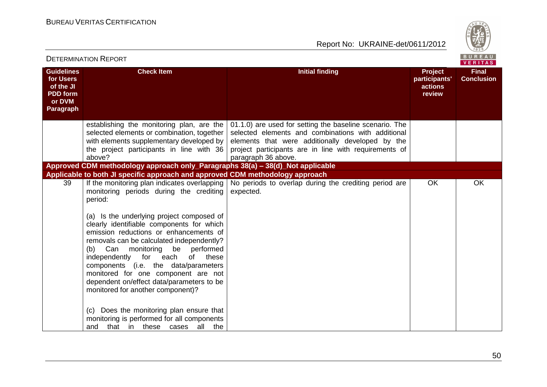

|                                                                                       | BUREAU<br><b>DETERMINATION REPORT</b><br>VERITAS                                                                                                                                                                                                                                                                                                                                                                                                                                                                                       |                                                                                                                                                                                                                                                   |                                                      |                                   |
|---------------------------------------------------------------------------------------|----------------------------------------------------------------------------------------------------------------------------------------------------------------------------------------------------------------------------------------------------------------------------------------------------------------------------------------------------------------------------------------------------------------------------------------------------------------------------------------------------------------------------------------|---------------------------------------------------------------------------------------------------------------------------------------------------------------------------------------------------------------------------------------------------|------------------------------------------------------|-----------------------------------|
| <b>Guidelines</b><br>for Users<br>of the JI<br><b>PDD</b> form<br>or DVM<br>Paragraph | <b>Check Item</b>                                                                                                                                                                                                                                                                                                                                                                                                                                                                                                                      | <b>Initial finding</b>                                                                                                                                                                                                                            | <b>Project</b><br>participants'<br>actions<br>review | <b>Final</b><br><b>Conclusion</b> |
|                                                                                       | establishing the monitoring plan, are the<br>selected elements or combination, together<br>with elements supplementary developed by<br>the project participants in line with 36<br>above?                                                                                                                                                                                                                                                                                                                                              | 01.1.0) are used for setting the baseline scenario. The<br>selected elements and combinations with additional<br>elements that were additionally developed by the<br>project participants are in line with requirements of<br>paragraph 36 above. |                                                      |                                   |
|                                                                                       | Approved CDM methodology approach only_Paragraphs 38(a) - 38(d)_Not applicable<br>Applicable to both JI specific approach and approved CDM methodology approach                                                                                                                                                                                                                                                                                                                                                                        |                                                                                                                                                                                                                                                   |                                                      |                                   |
| 39                                                                                    | If the monitoring plan indicates overlapping<br>monitoring periods during the crediting<br>period:<br>(a) Is the underlying project composed of<br>clearly identifiable components for which<br>emission reductions or enhancements of<br>removals can be calculated independently?<br>(b)<br>Can monitoring<br>be performed<br>independently for each<br>of<br>these<br>components (i.e. the data/parameters<br>monitored for one component are not<br>dependent on/effect data/parameters to be<br>monitored for another component)? | No periods to overlap during the crediting period are<br>expected.                                                                                                                                                                                | <b>OK</b>                                            | OK                                |
|                                                                                       | (c) Does the monitoring plan ensure that<br>monitoring is performed for all components<br>that in these cases all the<br>and                                                                                                                                                                                                                                                                                                                                                                                                           |                                                                                                                                                                                                                                                   |                                                      |                                   |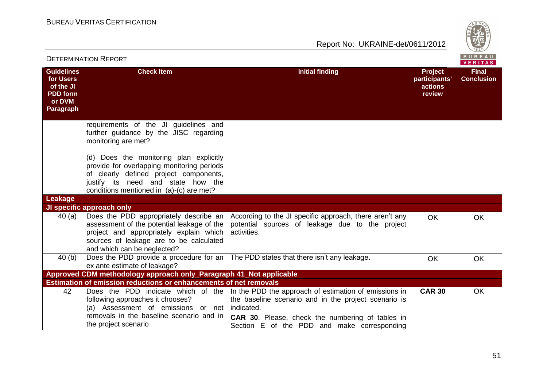

|                                                                                       | <b>DETERMINATION REPORT</b>                                                                                                                                                                                       |                                                                                                                                                         |                                                      | BUREAU<br>VERITAS                 |
|---------------------------------------------------------------------------------------|-------------------------------------------------------------------------------------------------------------------------------------------------------------------------------------------------------------------|---------------------------------------------------------------------------------------------------------------------------------------------------------|------------------------------------------------------|-----------------------------------|
| <b>Guidelines</b><br>for Users<br>of the JI<br><b>PDD</b> form<br>or DVM<br>Paragraph | <b>Check Item</b>                                                                                                                                                                                                 | <b>Initial finding</b>                                                                                                                                  | <b>Project</b><br>participants'<br>actions<br>review | <b>Final</b><br><b>Conclusion</b> |
|                                                                                       | requirements of the JI guidelines and<br>further guidance by the JISC regarding<br>monitoring are met?                                                                                                            |                                                                                                                                                         |                                                      |                                   |
|                                                                                       | (d) Does the monitoring plan explicitly<br>provide for overlapping monitoring periods<br>of clearly defined project components,<br>justify its need and state how the<br>conditions mentioned in (a)-(c) are met? |                                                                                                                                                         |                                                      |                                   |
| Leakage                                                                               |                                                                                                                                                                                                                   |                                                                                                                                                         |                                                      |                                   |
| 40(a)                                                                                 | <b>JI specific approach only</b><br>Does the PDD appropriately describe an<br>assessment of the potential leakage of the<br>project and appropriately explain which<br>sources of leakage are to be calculated    | According to the JI specific approach, there aren't any<br>potential sources of leakage due to the project<br>activities.                               | <b>OK</b>                                            | <b>OK</b>                         |
| 40(b)                                                                                 | and which can be neglected?<br>ex ante estimate of leakage?                                                                                                                                                       | Does the PDD provide a procedure for an $\vert$ The PDD states that there isn't any leakage.                                                            | <b>OK</b>                                            | <b>OK</b>                         |
|                                                                                       | Approved CDM methodology approach only_Paragraph 41_Not applicable                                                                                                                                                |                                                                                                                                                         |                                                      |                                   |
| 42                                                                                    | <b>Estimation of emission reductions or enhancements of net removals</b>                                                                                                                                          | Does the PDD indicate which of the In the PDD the approach of estimation of emissions in                                                                | <b>CAR 30</b>                                        | <b>OK</b>                         |
|                                                                                       | following approaches it chooses?<br>(a) Assessment of emissions or net indicated.<br>removals in the baseline scenario and in<br>the project scenario                                                             | the baseline scenario and in the project scenario is<br>CAR 30. Please, check the numbering of tables in<br>Section E of the PDD and make corresponding |                                                      |                                   |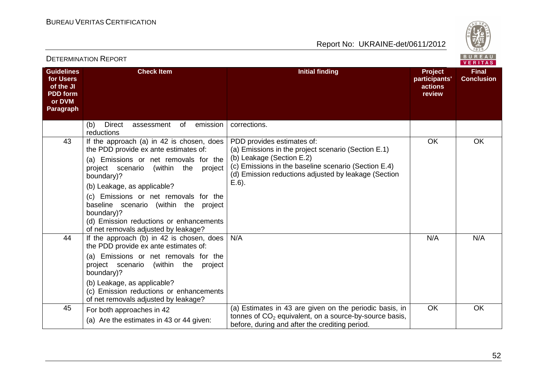

| DETERMINATION INEFORT<br>VERITAS                                                      |                                                                                                                                                                                                                                                                                                                                                                                                              |                                                                                                                                                                                                                                            |                                                      |                                   |
|---------------------------------------------------------------------------------------|--------------------------------------------------------------------------------------------------------------------------------------------------------------------------------------------------------------------------------------------------------------------------------------------------------------------------------------------------------------------------------------------------------------|--------------------------------------------------------------------------------------------------------------------------------------------------------------------------------------------------------------------------------------------|------------------------------------------------------|-----------------------------------|
| <b>Guidelines</b><br>for Users<br>of the JI<br><b>PDD</b> form<br>or DVM<br>Paragraph | <b>Check Item</b>                                                                                                                                                                                                                                                                                                                                                                                            | <b>Initial finding</b>                                                                                                                                                                                                                     | <b>Project</b><br>participants'<br>actions<br>review | <b>Final</b><br><b>Conclusion</b> |
|                                                                                       | emission<br>(b)<br><b>Direct</b><br>of<br>assessment<br>reductions                                                                                                                                                                                                                                                                                                                                           | corrections.                                                                                                                                                                                                                               |                                                      |                                   |
| 43                                                                                    | If the approach (a) in 42 is chosen, does<br>the PDD provide ex ante estimates of:<br>(a) Emissions or net removals for the<br>project scenario<br>(within<br>the<br>project<br>boundary)?<br>(b) Leakage, as applicable?<br>(c) Emissions or net removals for the<br>baseline scenario (within the project<br>boundary)?<br>(d) Emission reductions or enhancements<br>of net removals adjusted by leakage? | PDD provides estimates of:<br>(a) Emissions in the project scenario (Section E.1)<br>(b) Leakage (Section E.2)<br>(c) Emissions in the baseline scenario (Section E.4)<br>(d) Emission reductions adjusted by leakage (Section<br>$E.6$ ). | <b>OK</b>                                            | <b>OK</b>                         |
| 44                                                                                    | If the approach (b) in 42 is chosen, does<br>the PDD provide ex ante estimates of:<br>(a) Emissions or net removals for the<br>project scenario<br>(within the project)<br>boundary)?<br>(b) Leakage, as applicable?<br>(c) Emission reductions or enhancements<br>of net removals adjusted by leakage?                                                                                                      | N/A                                                                                                                                                                                                                                        | N/A                                                  | N/A                               |
| 45                                                                                    | For both approaches in 42<br>(a) Are the estimates in 43 or 44 given:                                                                                                                                                                                                                                                                                                                                        | (a) Estimates in 43 are given on the periodic basis, in<br>tonnes of $CO2$ equivalent, on a source-by-source basis,<br>before, during and after the crediting period.                                                                      | <b>OK</b>                                            | <b>OK</b>                         |

#### DETERMINATION REPORT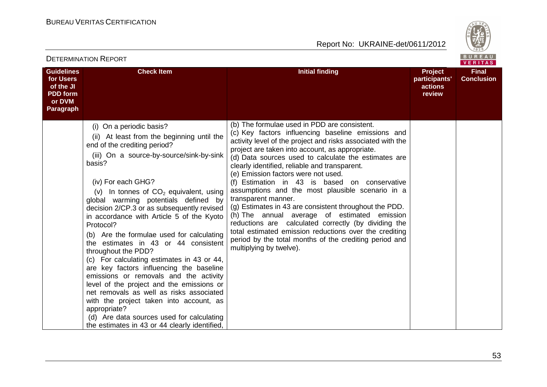

| DETERMINATION INEFORT                                                                        |                                                                                                                                                                                                                                                                                                                                                                                                                                                                                                                                                                                                                                                                                                                                                                                                                                                                                  |                                                                                                                                                                                                                                                                                                                                                                                                                                                                                                                                                                                                                                                                                                                                                                                                                   | VERITAS                                              |                                   |
|----------------------------------------------------------------------------------------------|----------------------------------------------------------------------------------------------------------------------------------------------------------------------------------------------------------------------------------------------------------------------------------------------------------------------------------------------------------------------------------------------------------------------------------------------------------------------------------------------------------------------------------------------------------------------------------------------------------------------------------------------------------------------------------------------------------------------------------------------------------------------------------------------------------------------------------------------------------------------------------|-------------------------------------------------------------------------------------------------------------------------------------------------------------------------------------------------------------------------------------------------------------------------------------------------------------------------------------------------------------------------------------------------------------------------------------------------------------------------------------------------------------------------------------------------------------------------------------------------------------------------------------------------------------------------------------------------------------------------------------------------------------------------------------------------------------------|------------------------------------------------------|-----------------------------------|
| <b>Guidelines</b><br>for Users<br>of the JI<br><b>PDD</b> form<br>or DVM<br><b>Paragraph</b> | <b>Check Item</b>                                                                                                                                                                                                                                                                                                                                                                                                                                                                                                                                                                                                                                                                                                                                                                                                                                                                | <b>Initial finding</b>                                                                                                                                                                                                                                                                                                                                                                                                                                                                                                                                                                                                                                                                                                                                                                                            | <b>Project</b><br>participants'<br>actions<br>review | <b>Final</b><br><b>Conclusion</b> |
|                                                                                              | (i) On a periodic basis?<br>(ii) At least from the beginning until the<br>end of the crediting period?<br>(iii) On a source-by-source/sink-by-sink<br>basis?<br>(iv) For each GHG?<br>(v) In tonnes of $CO2$ equivalent, using<br>global warming potentials defined by<br>decision 2/CP.3 or as subsequently revised<br>in accordance with Article 5 of the Kyoto<br>Protocol?<br>(b) Are the formulae used for calculating<br>the estimates in 43 or 44 consistent<br>throughout the PDD?<br>(c) For calculating estimates in 43 or 44,<br>are key factors influencing the baseline<br>emissions or removals and the activity<br>level of the project and the emissions or<br>net removals as well as risks associated<br>with the project taken into account, as<br>appropriate?<br>(d) Are data sources used for calculating<br>the estimates in 43 or 44 clearly identified, | (b) The formulae used in PDD are consistent.<br>(c) Key factors influencing baseline emissions and<br>activity level of the project and risks associated with the<br>project are taken into account, as appropriate.<br>(d) Data sources used to calculate the estimates are<br>clearly identified, reliable and transparent.<br>(e) Emission factors were not used.<br>(f) Estimation in 43 is based on conservative<br>assumptions and the most plausible scenario in a<br>transparent manner.<br>(g) Estimates in 43 are consistent throughout the PDD.<br>(h) The annual average of estimated emission<br>reductions are calculated correctly (by dividing the<br>total estimated emission reductions over the crediting<br>period by the total months of the crediting period and<br>multiplying by twelve). |                                                      |                                   |

#### DETERMINATION REPORT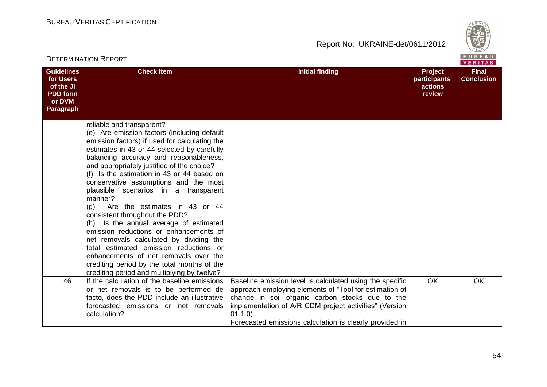



| <b>DETERMINATION REPORT</b>                                                           |                                                                                                                                                                                                                                                                                                                                                                                                                                                                                                                                                                                                                                                                                                                                                                                                      |                                                                                                                                                                                                                                                                                                           |                                                      |                                   |  |
|---------------------------------------------------------------------------------------|------------------------------------------------------------------------------------------------------------------------------------------------------------------------------------------------------------------------------------------------------------------------------------------------------------------------------------------------------------------------------------------------------------------------------------------------------------------------------------------------------------------------------------------------------------------------------------------------------------------------------------------------------------------------------------------------------------------------------------------------------------------------------------------------------|-----------------------------------------------------------------------------------------------------------------------------------------------------------------------------------------------------------------------------------------------------------------------------------------------------------|------------------------------------------------------|-----------------------------------|--|
| <b>Guidelines</b><br>for Users<br>of the JI<br><b>PDD</b> form<br>or DVM<br>Paragraph | <b>Check Item</b>                                                                                                                                                                                                                                                                                                                                                                                                                                                                                                                                                                                                                                                                                                                                                                                    | <b>Initial finding</b>                                                                                                                                                                                                                                                                                    | <b>Project</b><br>participants'<br>actions<br>review | <b>Final</b><br><b>Conclusion</b> |  |
|                                                                                       | reliable and transparent?<br>(e) Are emission factors (including default<br>emission factors) if used for calculating the<br>estimates in 43 or 44 selected by carefully<br>balancing accuracy and reasonableness,<br>and appropriately justified of the choice?<br>(f) Is the estimation in 43 or 44 based on<br>conservative assumptions and the most<br>plausible scenarios in a transparent<br>manner?<br>(q)<br>Are the estimates in 43 or 44<br>consistent throughout the PDD?<br>(h) Is the annual average of estimated<br>emission reductions or enhancements of<br>net removals calculated by dividing the<br>total estimated emission reductions or<br>enhancements of net removals over the<br>crediting period by the total months of the<br>crediting period and multiplying by twelve? |                                                                                                                                                                                                                                                                                                           |                                                      |                                   |  |
| 46                                                                                    | If the calculation of the baseline emissions<br>or net removals is to be performed de<br>facto, does the PDD include an illustrative<br>forecasted emissions or net removals<br>calculation?                                                                                                                                                                                                                                                                                                                                                                                                                                                                                                                                                                                                         | Baseline emission level is calculated using the specific<br>approach employing elements of "Tool for estimation of<br>change in soil organic carbon stocks due to the<br>implementation of A/R CDM project activities" (Version<br>$01.1.0$ ).<br>Forecasted emissions calculation is clearly provided in | <b>OK</b>                                            | <b>OK</b>                         |  |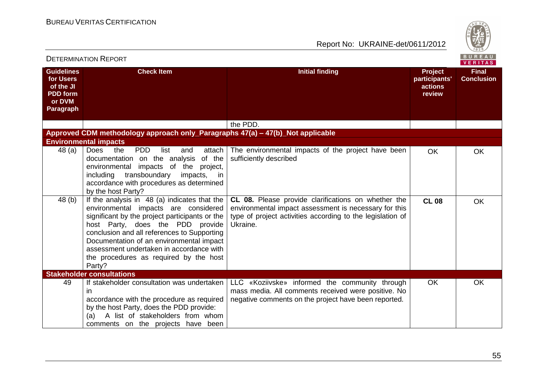

| <b>DETERMINATION REPORT</b>                                                                  |                                                                                                                                                                                                                                                                                                                                                                       |                                                                                                                                                                                        |                                               |                                   |
|----------------------------------------------------------------------------------------------|-----------------------------------------------------------------------------------------------------------------------------------------------------------------------------------------------------------------------------------------------------------------------------------------------------------------------------------------------------------------------|----------------------------------------------------------------------------------------------------------------------------------------------------------------------------------------|-----------------------------------------------|-----------------------------------|
| <b>Guidelines</b><br>for Users<br>of the JI<br><b>PDD</b> form<br>or DVM<br><b>Paragraph</b> | <b>Check Item</b>                                                                                                                                                                                                                                                                                                                                                     | <b>Initial finding</b>                                                                                                                                                                 | Project<br>participants'<br>actions<br>review | <b>Final</b><br><b>Conclusion</b> |
|                                                                                              |                                                                                                                                                                                                                                                                                                                                                                       | the PDD.                                                                                                                                                                               |                                               |                                   |
|                                                                                              | Approved CDM methodology approach only_Paragraphs 47(a) – 47(b)_Not applicable                                                                                                                                                                                                                                                                                        |                                                                                                                                                                                        |                                               |                                   |
|                                                                                              | <b>Environmental impacts</b>                                                                                                                                                                                                                                                                                                                                          |                                                                                                                                                                                        |                                               |                                   |
| 48 (a)                                                                                       | Does<br><b>PDD</b><br>attach<br>the<br>list<br>and<br>of the<br>documentation on the analysis<br>impacts of the<br>environmental<br>project,<br>transboundary<br>including<br>impacts, in<br>accordance with procedures as determined<br>by the host Party?                                                                                                           | The environmental impacts of the project have been<br>sufficiently described                                                                                                           | <b>OK</b>                                     | <b>OK</b>                         |
| 48 (b)                                                                                       | If the analysis in 48 (a) indicates that the<br>environmental impacts are considered<br>significant by the project participants or the<br>host Party, does the PDD provide<br>conclusion and all references to Supporting<br>Documentation of an environmental impact<br>assessment undertaken in accordance with<br>the procedures as required by the host<br>Party? | CL 08. Please provide clarifications on whether the<br>environmental impact assessment is necessary for this<br>type of project activities according to the legislation of<br>Ukraine. | <b>CL 08</b>                                  | <b>OK</b>                         |
|                                                                                              | <b>Stakeholder consultations</b>                                                                                                                                                                                                                                                                                                                                      |                                                                                                                                                                                        |                                               |                                   |
| 49                                                                                           | If stakeholder consultation was undertaken<br>in<br>accordance with the procedure as required<br>by the host Party, does the PDD provide:<br>A list of stakeholders from whom<br>(a)<br>comments on the projects have been                                                                                                                                            | LLC «Koziivske» informed the community through<br>mass media. All comments received were positive. No<br>negative comments on the project have been reported.                          | <b>OK</b>                                     | <b>OK</b>                         |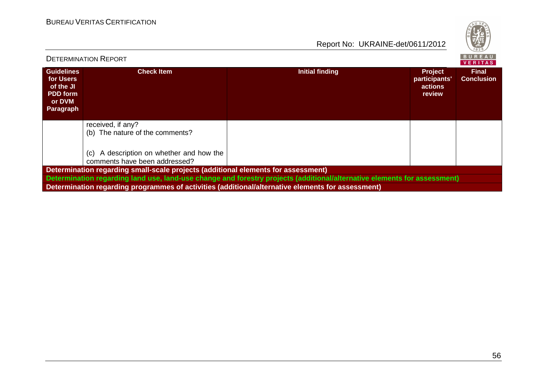

|                                                                                                                          | <b>DETERMINATION REPORT</b>                                                                       |                 |                                                             | <b>BUREAU</b><br><b>VERITAS</b>   |  |  |
|--------------------------------------------------------------------------------------------------------------------------|---------------------------------------------------------------------------------------------------|-----------------|-------------------------------------------------------------|-----------------------------------|--|--|
| <b>Guidelines</b><br>for Users<br>of the JI<br><b>PDD</b> form<br>or DVM<br>Paragraph                                    | <b>Check Item</b>                                                                                 | Initial finding | <b>Project</b><br>participants'<br>actions<br><b>review</b> | <b>Final</b><br><b>Conclusion</b> |  |  |
|                                                                                                                          | received, if any?<br>(b) The nature of the comments?                                              |                 |                                                             |                                   |  |  |
|                                                                                                                          | A description on whether and how the<br>(c)<br>comments have been addressed?                      |                 |                                                             |                                   |  |  |
| Determination regarding small-scale projects (additional elements for assessment)                                        |                                                                                                   |                 |                                                             |                                   |  |  |
| Determination regarding land use, land-use change and forestry projects (additional/alternative elements for assessment) |                                                                                                   |                 |                                                             |                                   |  |  |
|                                                                                                                          | Determination regarding programmes of activities (additional/alternative elements for assessment) |                 |                                                             |                                   |  |  |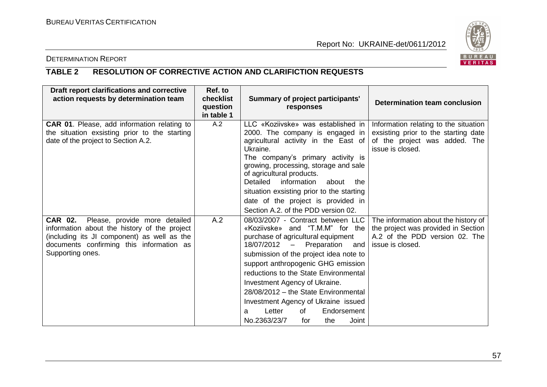

### DETERMINATION REPORT

# **TABLE 2 RESOLUTION OF CORRECTIVE ACTION AND CLARIFICTION REQUESTS**

| Draft report clarifications and corrective<br>action requests by determination team                                                                                                                  | Ref. to<br>checklist<br>question<br>in table 1 | Summary of project participants'<br>responses                                                                                                                                                                                                                                                                                                                                                                                                                  | Determination team conclusion                                                                                                      |
|------------------------------------------------------------------------------------------------------------------------------------------------------------------------------------------------------|------------------------------------------------|----------------------------------------------------------------------------------------------------------------------------------------------------------------------------------------------------------------------------------------------------------------------------------------------------------------------------------------------------------------------------------------------------------------------------------------------------------------|------------------------------------------------------------------------------------------------------------------------------------|
| <b>CAR 01.</b> Please, add information relating to<br>the situation exsisting prior to the starting<br>date of the project to Section A.2.                                                           | A.2                                            | LLC «Koziivske» was established in<br>2000. The company is engaged in<br>agricultural activity in the East of<br>Ukraine.<br>The company's primary activity is<br>growing, processing, storage and sale<br>of agricultural products.<br>Detailed<br>information<br>about<br>the<br>situation exsisting prior to the starting<br>date of the project is provided in<br>Section A.2. of the PDD version 02.                                                      | Information relating to the situation<br>exsisting prior to the starting date<br>of the project was added. The<br>issue is closed. |
| CAR 02. Please, provide more detailed<br>information about the history of the project<br>(including its JI component) as well as the<br>documents confirming this information as<br>Supporting ones. | A.2                                            | 08/03/2007 - Contract between LLC<br>«Koziivske» and "T.M.M" for the<br>purchase of agricultural equipment<br>18/07/2012 - Preparation and<br>submission of the project idea note to<br>support anthropogenic GHG emission<br>reductions to the State Environmental<br>Investment Agency of Ukraine.<br>28/08/2012 - the State Environmental<br>Investment Agency of Ukraine issued<br>Letter<br>Endorsement<br>of<br>a<br>No.2363/23/7<br>Joint<br>for<br>the | The information about the history of<br>the project was provided in Section<br>A.2 of the PDD version 02. The<br>issue is closed.  |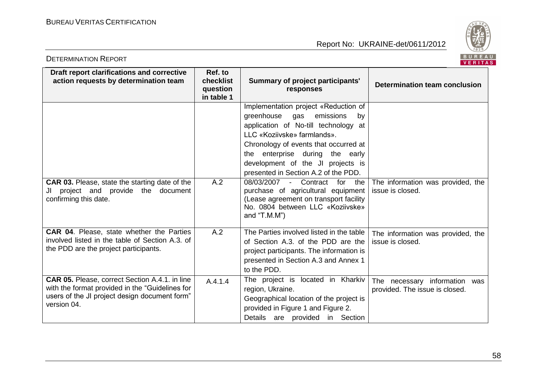DETERMINATION REPORT



|                                                                                                                                                                          |                                                |                                                                                                                                                                                                                                                                                                           | <b>VENIA</b>                                                    |
|--------------------------------------------------------------------------------------------------------------------------------------------------------------------------|------------------------------------------------|-----------------------------------------------------------------------------------------------------------------------------------------------------------------------------------------------------------------------------------------------------------------------------------------------------------|-----------------------------------------------------------------|
| Draft report clarifications and corrective<br>action requests by determination team                                                                                      | Ref. to<br>checklist<br>question<br>in table 1 | <b>Summary of project participants'</b><br>responses                                                                                                                                                                                                                                                      | <b>Determination team conclusion</b>                            |
|                                                                                                                                                                          |                                                | Implementation project «Reduction of<br>greenhouse gas<br>emissions<br>by<br>application of No-till technology at<br>LLC «Koziivske» farmlands».<br>Chronology of events that occurred at<br>the enterprise during the early<br>development of the JI projects is<br>presented in Section A.2 of the PDD. |                                                                 |
| <b>CAR 03.</b> Please, state the starting date of the<br>JI project and provide the document<br>confirming this date.                                                    | A.2                                            | 08/03/2007 -<br>Contract<br>for<br>the<br>purchase of agricultural equipment<br>(Lease agreement on transport facility<br>No. 0804 between LLC «Koziivske»<br>and "T.M.M")                                                                                                                                | The information was provided, the<br>issue is closed.           |
| <b>CAR 04.</b> Please, state whether the Parties<br>involved listed in the table of Section A.3. of<br>the PDD are the project participants.                             | A.2                                            | The Parties involved listed in the table<br>of Section A.3. of the PDD are the<br>project participants. The information is<br>presented in Section A.3 and Annex 1<br>to the PDD.                                                                                                                         | The information was provided, the<br>issue is closed.           |
| <b>CAR 05.</b> Please, correct Section A.4.1. in line<br>with the format provided in the "Guidelines for<br>users of the JI project design document form"<br>version 04. | A.4.1.4                                        | The project is located in Kharkiv<br>region, Ukraine.<br>Geographical location of the project is<br>provided in Figure 1 and Figure 2.<br>Details are provided in Section                                                                                                                                 | The necessary information was<br>provided. The issue is closed. |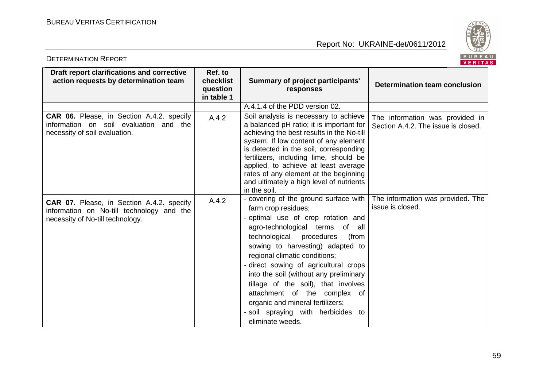DETERMINATION REPORT



|                                                                                                                      |                                                |                                                                                                                                                                                                                                                                                                                                                                                                          | <b>VENIA</b>                                                           |
|----------------------------------------------------------------------------------------------------------------------|------------------------------------------------|----------------------------------------------------------------------------------------------------------------------------------------------------------------------------------------------------------------------------------------------------------------------------------------------------------------------------------------------------------------------------------------------------------|------------------------------------------------------------------------|
| Draft report clarifications and corrective<br>action requests by determination team                                  | Ref. to<br>checklist<br>question<br>in table 1 | <b>Summary of project participants'</b><br>responses                                                                                                                                                                                                                                                                                                                                                     | Determination team conclusion                                          |
|                                                                                                                      |                                                | A.4.1.4 of the PDD version 02.                                                                                                                                                                                                                                                                                                                                                                           |                                                                        |
| CAR 06. Please, in Section A.4.2. specify<br>information on soil evaluation and the<br>necessity of soil evaluation. | A.4.2                                          | Soil analysis is necessary to achieve<br>a balanced pH ratio; it is important for<br>achieving the best results in the No-till<br>system. If low content of any element<br>is detected in the soil, corresponding<br>fertilizers, including lime, should be<br>applied, to achieve at least average<br>rates of any element at the beginning<br>and ultimately a high level of nutrients<br>in the soil. | The information was provided in<br>Section A.4.2. The issue is closed. |
| CAR 07. Please, in Section A.4.2. specify                                                                            | A.4.2                                          | - covering of the ground surface with                                                                                                                                                                                                                                                                                                                                                                    | The information was provided. The                                      |
| information on No-till technology and the                                                                            |                                                | farm crop residues;                                                                                                                                                                                                                                                                                                                                                                                      | issue is closed.                                                       |
| necessity of No-till technology.                                                                                     |                                                | - optimal use of crop rotation and<br>agro-technological terms of<br>all                                                                                                                                                                                                                                                                                                                                 |                                                                        |
|                                                                                                                      |                                                | technological procedures<br>(from                                                                                                                                                                                                                                                                                                                                                                        |                                                                        |
|                                                                                                                      |                                                | sowing to harvesting) adapted to                                                                                                                                                                                                                                                                                                                                                                         |                                                                        |
|                                                                                                                      |                                                | regional climatic conditions;                                                                                                                                                                                                                                                                                                                                                                            |                                                                        |
|                                                                                                                      |                                                | - direct sowing of agricultural crops                                                                                                                                                                                                                                                                                                                                                                    |                                                                        |
|                                                                                                                      |                                                | into the soil (without any preliminary                                                                                                                                                                                                                                                                                                                                                                   |                                                                        |
|                                                                                                                      |                                                | tillage of the soil), that involves                                                                                                                                                                                                                                                                                                                                                                      |                                                                        |
|                                                                                                                      |                                                | attachment of the complex of<br>organic and mineral fertilizers;                                                                                                                                                                                                                                                                                                                                         |                                                                        |
|                                                                                                                      |                                                | - soil spraying with herbicides to                                                                                                                                                                                                                                                                                                                                                                       |                                                                        |
|                                                                                                                      |                                                | eliminate weeds.                                                                                                                                                                                                                                                                                                                                                                                         |                                                                        |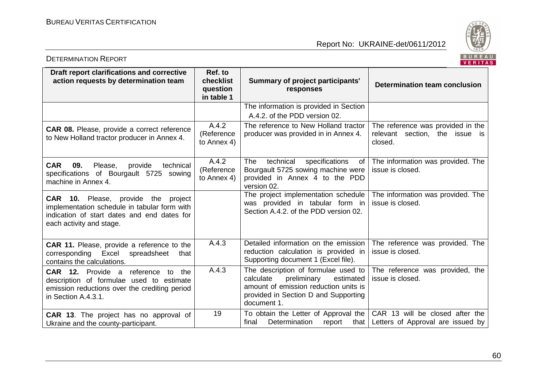

|                                                                                                                                                                        |                                                |                                                                                                                                                                              | $\mathbf{v}$ . The state $\mathbf{v}$                                          |
|------------------------------------------------------------------------------------------------------------------------------------------------------------------------|------------------------------------------------|------------------------------------------------------------------------------------------------------------------------------------------------------------------------------|--------------------------------------------------------------------------------|
| Draft report clarifications and corrective<br>action requests by determination team                                                                                    | Ref. to<br>checklist<br>question<br>in table 1 | <b>Summary of project participants'</b><br>responses                                                                                                                         | Determination team conclusion                                                  |
|                                                                                                                                                                        |                                                | The information is provided in Section<br>A.4.2. of the PDD version 02.                                                                                                      |                                                                                |
| <b>CAR 08.</b> Please, provide a correct reference<br>to New Holland tractor producer in Annex 4.                                                                      | A.4.2<br>(Reference<br>to Annex 4)             | The reference to New Holland tractor<br>producer was provided in in Annex 4.                                                                                                 | The reference was provided in the<br>relevant section, the issue is<br>closed. |
| <b>CAR</b><br>09.<br>Please,<br>provide<br>technical<br>specifications of Bourgault 5725 sowing<br>machine in Annex 4.                                                 | A.4.2<br>(Reference<br>to Annex 4)             | technical<br><b>The</b><br>specifications<br>0f<br>Bourgault 5725 sowing machine were<br>provided in Annex 4 to the PDD<br>version 02.                                       | The information was provided. The<br>issue is closed.                          |
| <b>CAR 10.</b> Please, provide the project<br>implementation schedule in tabular form with<br>indication of start dates and end dates for<br>each activity and stage.  |                                                | The project implementation schedule<br>was provided in tabular form in<br>Section A.4.2, of the PDD version 02.                                                              | The information was provided. The<br>issue is closed.                          |
| <b>CAR 11.</b> Please, provide a reference to the<br>corresponding Excel<br>spreadsheet<br>that<br>contains the calculations.                                          | A.4.3                                          | Detailed information on the emission<br>reduction calculation is provided in<br>Supporting document 1 (Excel file).                                                          | The reference was provided. The<br>issue is closed.                            |
| <b>CAR 12.</b> Provide a<br>reference<br>the<br>to<br>description of formulae used to estimate<br>emission reductions over the crediting period<br>in Section A.4.3.1. | A.4.3                                          | The description of formulae used to<br>calculate<br>preliminary<br>estimated<br>amount of emission reduction units is<br>provided in Section D and Supporting<br>document 1. | The reference was provided, the<br>issue is closed.                            |
| CAR 13. The project has no approval of<br>Ukraine and the county-participant.                                                                                          | 19                                             | To obtain the Letter of Approval the<br>Determination<br>report<br>final<br>that                                                                                             | CAR 13 will be closed after the<br>Letters of Approval are issued by           |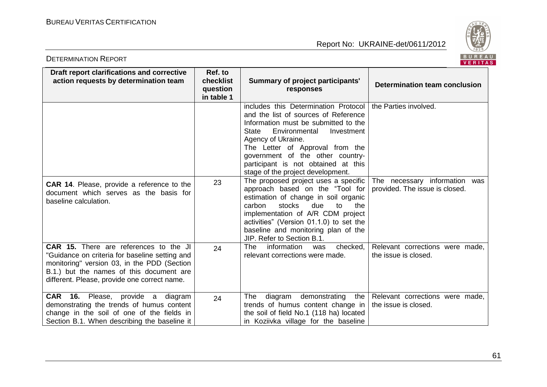

| BUREA<br><b>DETERMINATION REPORT</b><br>VERITA                                                                                                                                                                                             |                                                |                                                                                                                                                                                                                                                                                                                                       |                                                                 |  |  |
|--------------------------------------------------------------------------------------------------------------------------------------------------------------------------------------------------------------------------------------------|------------------------------------------------|---------------------------------------------------------------------------------------------------------------------------------------------------------------------------------------------------------------------------------------------------------------------------------------------------------------------------------------|-----------------------------------------------------------------|--|--|
| Draft report clarifications and corrective<br>action requests by determination team                                                                                                                                                        | Ref. to<br>checklist<br>question<br>in table 1 | <b>Summary of project participants'</b><br>responses                                                                                                                                                                                                                                                                                  | Determination team conclusion                                   |  |  |
|                                                                                                                                                                                                                                            |                                                | includes this Determination Protocol<br>and the list of sources of Reference<br>Information must be submitted to the<br>State<br>Environmental<br>Investment<br>Agency of Ukraine.<br>The Letter of Approval from the<br>government of the other country-<br>participant is not obtained at this<br>stage of the project development. | the Parties involved.                                           |  |  |
| <b>CAR 14.</b> Please, provide a reference to the<br>document which serves as the basis for<br>baseline calculation.                                                                                                                       | 23                                             | The proposed project uses a specific<br>approach based on the "Tool for<br>estimation of change in soil organic<br>stocks<br>due<br>carbon<br>to<br>the<br>implementation of A/R CDM project<br>activities" (Version 01.1.0) to set the<br>baseline and monitoring plan of the<br>JIP. Refer to Section B.1.                          | The necessary information was<br>provided. The issue is closed. |  |  |
| <b>CAR 15.</b> There are references to the JI<br>"Guidance on criteria for baseline setting and<br>monitoring" version 03, in the PDD (Section<br>B.1.) but the names of this document are<br>different. Please, provide one correct name. | 24                                             | information<br>checked,<br>The .<br>was<br>relevant corrections were made.                                                                                                                                                                                                                                                            | Relevant corrections were made,<br>the issue is closed.         |  |  |
| CAR 16. Please, provide a diagram<br>demonstrating the trends of humus content<br>change in the soil of one of the fields in<br>Section B.1. When describing the baseline it                                                               | 24                                             | diagram demonstrating<br>The<br>the<br>trends of humus content change in<br>the soil of field No.1 (118 ha) located<br>in Koziivka village for the baseline                                                                                                                                                                           | Relevant corrections were made,<br>the issue is closed.         |  |  |

61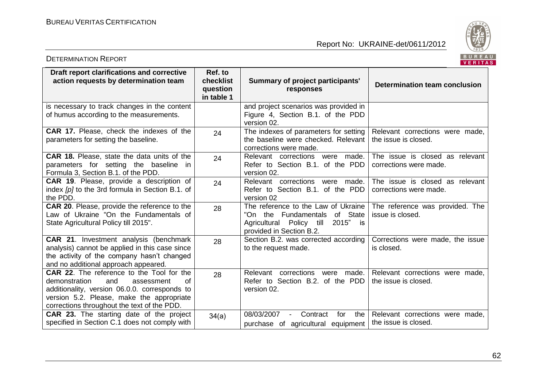DETERMINATION REPORT



|                                                                                                                                                                                                                                    |                                                |                                                                                                                                          | 1.111117                                                  |
|------------------------------------------------------------------------------------------------------------------------------------------------------------------------------------------------------------------------------------|------------------------------------------------|------------------------------------------------------------------------------------------------------------------------------------------|-----------------------------------------------------------|
| Draft report clarifications and corrective<br>action requests by determination team                                                                                                                                                | Ref. to<br>checklist<br>question<br>in table 1 | <b>Summary of project participants'</b><br>responses                                                                                     | Determination team conclusion                             |
| is necessary to track changes in the content<br>of humus according to the measurements.                                                                                                                                            |                                                | and project scenarios was provided in<br>Figure 4, Section B.1. of the PDD<br>version 02.                                                |                                                           |
| CAR 17. Please, check the indexes of the<br>parameters for setting the baseline.                                                                                                                                                   | 24                                             | The indexes of parameters for setting<br>the baseline were checked. Relevant<br>corrections were made.                                   | Relevant corrections were made,<br>the issue is closed.   |
| <b>CAR 18.</b> Please, state the data units of the<br>parameters for setting the baseline<br>- in<br>Formula 3, Section B.1. of the PDD.                                                                                           | 24                                             | Relevant corrections were made.<br>Refer to Section B.1. of the PDD<br>version 02.                                                       | The issue is closed as relevant<br>corrections were made. |
| <b>CAR 19.</b> Please, provide a description of<br>index [p] to the 3rd formula in Section B.1. of<br>the PDD.                                                                                                                     | 24                                             | Relevant corrections were made.<br>Refer to Section B.1. of the PDD<br>version 02                                                        | The issue is closed as relevant<br>corrections were made. |
| <b>CAR 20.</b> Please, provide the reference to the<br>Law of Ukraine "On the Fundamentals of<br>State Agricultural Policy till 2015".                                                                                             | 28                                             | The reference to the Law of Ukraine<br>"On the Fundamentals of State<br>Agricultural Policy till<br>2015" is<br>provided in Section B.2. | The reference was provided. The<br>issue is closed.       |
| CAR 21. Investment analysis (benchmark<br>analysis) cannot be applied in this case since<br>the activity of the company hasn't changed<br>and no additional approach appeared.                                                     | 28                                             | Section B.2. was corrected according<br>to the request made.                                                                             | Corrections were made, the issue<br>is closed.            |
| CAR 22. The reference to the Tool for the<br>demonstration<br>and<br>0f<br>assessment<br>additionality, version 06.0.0. corresponds to<br>version 5.2. Please, make the appropriate<br>corrections throughout the text of the PDD. | 28                                             | Relevant<br>corrections were made.<br>Refer to Section B.2. of the PDD<br>version 02.                                                    | Relevant corrections were made,<br>the issue is closed.   |
| <b>CAR 23.</b> The starting date of the project<br>specified in Section C.1 does not comply with                                                                                                                                   | 34(a)                                          | 08/03/2007<br>Contract<br>for<br>the<br>$\blacksquare$<br>purchase of agricultural equipment                                             | Relevant corrections were made,<br>the issue is closed.   |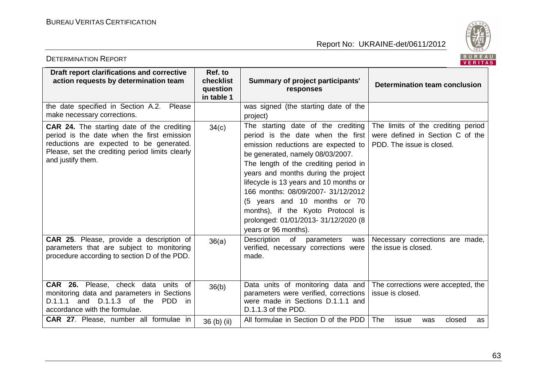

|                                                                                                                                                                                                                     |                                                |                                                                                                                                                                                                                                                                                                                                                                                                                                                        | . <i>.</i>                                                                                          |
|---------------------------------------------------------------------------------------------------------------------------------------------------------------------------------------------------------------------|------------------------------------------------|--------------------------------------------------------------------------------------------------------------------------------------------------------------------------------------------------------------------------------------------------------------------------------------------------------------------------------------------------------------------------------------------------------------------------------------------------------|-----------------------------------------------------------------------------------------------------|
| Draft report clarifications and corrective<br>action requests by determination team                                                                                                                                 | Ref. to<br>checklist<br>question<br>in table 1 | <b>Summary of project participants'</b><br>responses                                                                                                                                                                                                                                                                                                                                                                                                   | <b>Determination team conclusion</b>                                                                |
| the date specified in Section A.2.<br>Please<br>make necessary corrections.                                                                                                                                         |                                                | was signed (the starting date of the<br>project)                                                                                                                                                                                                                                                                                                                                                                                                       |                                                                                                     |
| <b>CAR 24.</b> The starting date of the crediting<br>period is the date when the first emission<br>reductions are expected to be generated.<br>Please, set the crediting period limits clearly<br>and justify them. | 34(c)                                          | The starting date of the crediting<br>period is the date when the first<br>emission reductions are expected to<br>be generated, namely 08/03/2007.<br>The length of the crediting period in<br>years and months during the project<br>lifecycle is 13 years and 10 months or<br>166 months: 08/09/2007- 31/12/2012<br>(5 years and 10 months or 70<br>months), if the Kyoto Protocol is<br>prolonged: 01/01/2013-31/12/2020 (8<br>years or 96 months). | The limits of the crediting period<br>were defined in Section C of the<br>PDD. The issue is closed. |
| CAR 25. Please, provide a description of<br>parameters that are subject to monitoring<br>procedure according to section D of the PDD.                                                                               | 36(a)                                          | Description<br>of<br>parameters<br>was<br>verified, necessary corrections were<br>made.                                                                                                                                                                                                                                                                                                                                                                | Necessary corrections are made,<br>the issue is closed.                                             |
| CAR 26. Please, check data units of<br>monitoring data and parameters in Sections<br>D.1.1.1<br>and D.1.1.3 of the<br>PDD<br>- in<br>accordance with the formulae.<br>CAR 27. Please, number all formulae in        | 36(b)                                          | Data units of monitoring data and<br>parameters were verified, corrections<br>were made in Sections D.1.1.1 and<br>D.1.1.3 of the PDD.<br>All formulae in Section D of the PDD                                                                                                                                                                                                                                                                         | The corrections were accepted, the<br>issue is closed.<br>The<br>issue<br>closed<br>was<br>as       |
|                                                                                                                                                                                                                     | 36 (b) (ii)                                    |                                                                                                                                                                                                                                                                                                                                                                                                                                                        |                                                                                                     |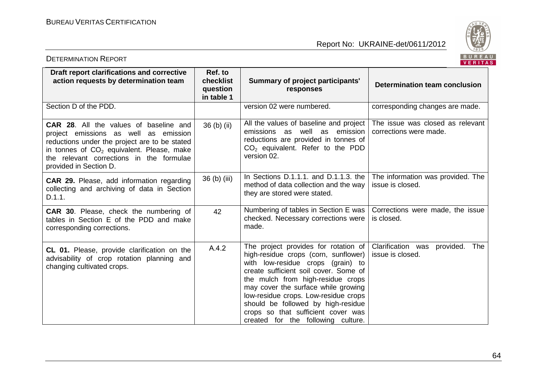DETERMINATION REPORT

Report No: UKRAINE-det/0611/2012



|                                                                                                                                                                                                                                                                        |                                                |                                                                                                                                                                                                                                                                                                                                                                                                  | $V = H + H$                                                |
|------------------------------------------------------------------------------------------------------------------------------------------------------------------------------------------------------------------------------------------------------------------------|------------------------------------------------|--------------------------------------------------------------------------------------------------------------------------------------------------------------------------------------------------------------------------------------------------------------------------------------------------------------------------------------------------------------------------------------------------|------------------------------------------------------------|
| Draft report clarifications and corrective<br>action requests by determination team                                                                                                                                                                                    | Ref. to<br>checklist<br>question<br>in table 1 | <b>Summary of project participants'</b><br>responses                                                                                                                                                                                                                                                                                                                                             | <b>Determination team conclusion</b>                       |
| Section D of the PDD.                                                                                                                                                                                                                                                  |                                                | version 02 were numbered.                                                                                                                                                                                                                                                                                                                                                                        | corresponding changes are made.                            |
| <b>CAR 28.</b> All the values of baseline and<br>project emissions as well as emission<br>reductions under the project are to be stated<br>in tonnes of CO <sub>2</sub> equivalent. Please, make<br>the relevant corrections in the formulae<br>provided in Section D. | 36 (b) (ii)                                    | All the values of baseline and project  <br>emissions as well as emission<br>reductions are provided in tonnes of<br>$CO2$ equivalent. Refer to the PDD<br>version 02.                                                                                                                                                                                                                           | The issue was closed as relevant<br>corrections were made. |
| CAR 29. Please, add information regarding<br>collecting and archiving of data in Section<br>D.1.1.                                                                                                                                                                     | 36 (b) (iii)                                   | In Sections D.1.1.1. and D.1.1.3. the<br>method of data collection and the way<br>they are stored were stated.                                                                                                                                                                                                                                                                                   | The information was provided. The<br>issue is closed.      |
| <b>CAR 30.</b> Please, check the numbering of<br>tables in Section E of the PDD and make<br>corresponding corrections.                                                                                                                                                 | 42                                             | Numbering of tables in Section E was<br>checked. Necessary corrections were<br>made.                                                                                                                                                                                                                                                                                                             | Corrections were made, the issue<br>is closed.             |
| CL 01. Please, provide clarification on the<br>advisability of crop rotation planning and<br>changing cultivated crops.                                                                                                                                                | A.4.2                                          | The project provides for rotation of<br>high-residue crops (corn, sunflower)<br>with low-residue crops (grain) to<br>create sufficient soil cover. Some of<br>the mulch from high-residue crops<br>may cover the surface while growing<br>low-residue crops. Low-residue crops<br>should be followed by high-residue<br>crops so that sufficient cover was<br>created for the following culture. | Clarification was<br>The<br>provided.<br>issue is closed.  |

64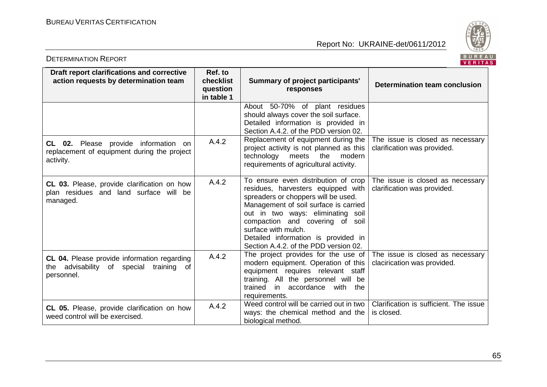

| BUREA<br><b>DETERMINATION REPORT</b><br>VERITA                                                       |                                                |                                                                                                                                                                                                                                                                                                                                          |                                                                 |  |  |
|------------------------------------------------------------------------------------------------------|------------------------------------------------|------------------------------------------------------------------------------------------------------------------------------------------------------------------------------------------------------------------------------------------------------------------------------------------------------------------------------------------|-----------------------------------------------------------------|--|--|
| Draft report clarifications and corrective<br>action requests by determination team                  | Ref. to<br>checklist<br>question<br>in table 1 | Summary of project participants'<br>responses                                                                                                                                                                                                                                                                                            | <b>Determination team conclusion</b>                            |  |  |
|                                                                                                      |                                                | About 50-70% of plant residues<br>should always cover the soil surface.<br>Detailed information is provided in<br>Section A.4.2. of the PDD version 02.                                                                                                                                                                                  |                                                                 |  |  |
| CL 02. Please provide information on<br>replacement of equipment during the project<br>activity.     | A.4.2                                          | Replacement of equipment during the<br>project activity is not planned as this<br>technology<br>meets<br>the<br>modern<br>requirements of agricultural activity.                                                                                                                                                                         | The issue is closed as necessary<br>clarification was provided. |  |  |
| CL 03. Please, provide clarification on how<br>plan residues and land surface will be<br>managed.    | A.4.2                                          | To ensure even distribution of crop<br>residues, harvesters equipped with<br>spreaders or choppers will be used.<br>Management of soil surface is carried<br>out in two ways: eliminating soil<br>compaction and covering of soil<br>surface with mulch.<br>Detailed information is provided in<br>Section A.4.2. of the PDD version 02. | The issue is closed as necessary<br>clarification was provided. |  |  |
| CL 04. Please provide information regarding<br>the advisability of special training of<br>personnel. | A.4.2                                          | The project provides for the use of<br>modern equipment. Operation of this<br>equipment requires relevant staff<br>training. All the personnel will be<br>trained<br>in accordance with the<br>requirements.                                                                                                                             | The issue is closed as necessary<br>clacirication was provided. |  |  |
| CL 05. Please, provide clarification on how<br>weed control will be exercised.                       | A.4.2                                          | Weed control will be carried out in two<br>ways: the chemical method and the<br>biological method.                                                                                                                                                                                                                                       | Clarification is sufficient. The issue<br>is closed.            |  |  |